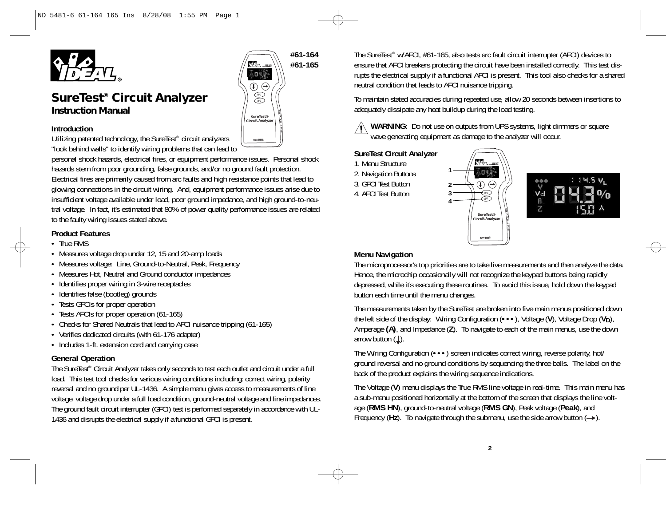

# *SureTest® Circuit Analyzer Instruction Manual*

### **Introduction**

Utilizing patented technology, the SureTest® circuit analyzers "look behind walls" to identify wiring problems that can lead to

personal shock hazards, electrical fires, or equipment performance issues. Personal shock hazards stem from poor grounding, false grounds, and/or no ground fault protection. Electrical fires are primarily caused from arc faults and high resistance points that lead to glowing connections in the circuit wiring. And, equipment performance issues arise due to insufficient voltage available under load, poor ground impedance, and high ground-to-neutral voltage. In fact, it's estimated that 80% of power quality performance issues are related to the faulty wiring issues stated above.

# **Product Features**

- True RMS
- Measures voltage drop under 12, 15 and 20-amp loads
- Measures voltage: Line, Ground-to-Neutral, Peak, Frequency
- Measures Hot, Neutral and Ground conductor impedances
- Identifies proper wiring in 3-wire receptacles
- Identifies false (bootleg) grounds
- Tests GFCIs for proper operation
- Tests AFCIs for proper operation (61-165)
- Checks for Shared Neutrals that lead to AFCI nuisance tripping (61-165)
- Verifies dedicated circuits (with 61-176 adapter)
- Includes 1-ft. extension cord and carrying case

# **General Operation**

The SureTest® Circuit Analyzer takes only seconds to test each outlet and circuit under a full load. This test tool checks for various wiring conditions including: correct wiring, polarity reversal and no ground per UL-1436. A simple menu gives access to measurements of line voltage, voltage drop under a full load condition, ground-neutral voltage and line impedances. The ground fault circuit interrupter (GFCI) test is performed separately in accordance with UL-1436 and disrupts the electrical supply if a functional GFCI is present.

**#61-164 #61-165** *#61-165*  $043$  $\circledcirc$ **GFCI AFCI** *SureTest®* **Circuit Analyze True RMS**

The SureTest® w/AFCI, #61-165, also tests arc fault circuit interrupter (AFCI) devices to ensure that AFCI breakers protecting the circuit have been installed correctly. This test disrupts the electrical supply if a functional AFCI is present. This tool also checks for a shared neutral condition that leads to AFCI nuisance tripping.

To maintain stated accuracies during repeated use, allow 20 seconds between insertions to adequately dissipate any heat buildup during the load testing.

**WARNING:** Do not use on outputs from UPS systems, light dimmers or square wave generating equipment as damage to the analyzer will occur.

# **SureTest Circuit Analyzer**

- 1. Menu Structure 2. Navigation Buttons
- 3. GFCI Test Button
- 4. AFCI Test Button
- 





# **Menu Navigation**

The microprocessor's top priorities are to take live measurements and then analyze the data. Hence, the microchip occasionally will not recognize the keypad buttons being rapidly depressed, while it's executing these routines. To avoid this issue, hold down the keypad button each time until the menu changes.

The measurements taken by the SureTest are broken into five main menus positioned down the left side of the display: Wiring Configuration (**•••**), Voltage (**V**), Voltage Drop (**VD**), Amperage **(A)**, and Impedance (**Z**). To navigate to each of the main menus, use the down arrow button  $(L)$ .

The Wiring Configuration (**•••**) screen indicates correct wiring, reverse polarity, hot/ ground reversal and no ground conditions by sequencing the three balls. The label on the back of the product explains the wiring sequence indications.

The Voltage (**V**) menu displays the True RMS line voltage in real-time. This main menu has a sub-menu positioned horizontally at the bottom of the screen that displays the line voltage (**RMS HN**), ground-to-neutral voltage (**RMS GN**), Peak voltage (**Peak**), and Frequency ( $Hz$ ). To navigate through the submenu, use the side arrow button  $( \rightarrow )$ .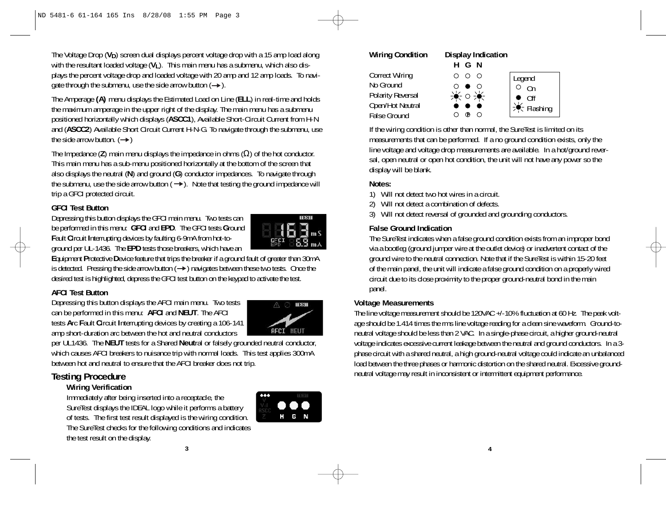The Voltage Drop ( $V_D$ ) screen dual displays percent voltage drop with a 15 amp load along with the resultant loaded voltage (V<sub>I</sub>). This main menu has a submenu, which also displays the percent voltage drop and loaded voltage with 20 amp and 12 amp loads. To navigate through the submenu, use the side arrow button  $( \rightarrow )$ .

The Amperage **(A)** menu displays the Estimated Load on Line (**ELL**) in real-time and holds the maximum amperage in the upper right of the display. The main menu has a submenu positioned horizontally which displays (**ASCC1**), Available Short-Circuit Current from H-N and (**ASCC2**) Available Short Circuit Current H-N-G. To navigate through the submenu, use the side arrow button.  $(\rightarrow)$ 

The Impedance (**Z**) main menu displays the impedance in ohms (Ω) of the hot conductor. This main menu has a sub-menu positioned horizontally at the bottom of the screen that also displays the neutral (**N**) and ground (**G**) conductor impedances. To navigate through the submenu, use the side arrow button  $( \rightarrow )$ . Note that testing the ground impedance will trip a GFCI protected circuit.

### **GFCI Test Button**

Depressing this button displays the GFCI main menu. Two tests can be performed in this menu: **GFCI** and **EPD**. The GFCI tests **G**round **F**ault **C**ircuit **I**nterrupting devices by faulting 6-9mA from hot-toground per UL-1436. The **EPD** tests those breakers, which have an



**E**quipment **P**rotective **D**evice feature that trips the breaker if a ground fault of greater than 30mA is detected. Pressing the side arrow button  $( \rightarrow )$  navigates between these two tests. Once the desired test is highlighted, depress the GFCI test button on the keypad to activate the test.

# **AFCI Test Button**

Depressing this button displays the AFCI main menu. Two tests can be performed in this menu: **AFCI** and **NEUT**. The AFCI tests **A**rc **F**ault **C**ircuit **I**nterrupting devices by creating a 106-141 amp short-duration arc between the hot and neutral conductors



per UL1436. The **NEUT** tests for a Shared **Neut**ral or falsely grounded neutral conductor, which causes AFCI breakers to nuisance trip with normal loads. This test applies 300mA between hot and neutral to ensure that the AFCI breaker does not trip.

# **Testing Procedure**

# **Wiring Verification**

Immediately after being inserted into a receptacle, the SureTest displays the IDEAL logo while it performs a battery of tests. The first test result displayed is the wiring condition. The SureTest checks for the following conditions and indicates the test result on the display.



#### **Wiring Condition Display Indication HGN** Correct Wiring  $O$   $O$   $O$ No Ground  $\circ$  $\bullet$   $\circ$ Polarity Reversal  $\bullet$  -  $\circ$  - $\bullet$  -Open/Hot Neutral False Ground  $\circ$



If the wiring condition is other than normal, the SureTest is limited on its measurements that can be performed. If a no ground condition exists, only the line voltage and voltage drop measurements are available. In a hot/ground reversal, open neutral or open hot condition, the unit will not have any power so the display will be blank.

# **Notes:**

- 1) Will not detect two hot wires in a circuit.
- 2) Will not detect a combination of defects.
- 3) Will not detect reversal of grounded and grounding conductors.

# **False Ground Indication**

The SureTest indicates when a false ground condition exists from an improper bond via a bootleg (ground jumper wire at the outlet device) or inadvertent contact of the ground wire to the neutral connection. Note that if the SureTest is within 15-20 feet of the main panel, the unit will indicate a false ground condition on a properly wired circuit due to its close proximity to the proper ground-neutral bond in the main panel.

# **Voltage Measurements**

The line voltage measurement should be 120VAC +/-10% fluctuation at 60 Hz. The peak voltage should be 1.414 times the rms line voltage reading for a clean sine waveform. Ground-toneutral voltage should be less than 2 VAC. In a single-phase circuit, a higher ground-neutral voltage indicates excessive current leakage between the neutral and ground conductors. In a 3 phase circuit with a shared neutral, a high ground-neutral voltage could indicate an unbalanced load between the three phases or harmonic distortion on the shared neutral. Excessive groundneutral voltage may result in inconsistent or intermittent equipment performance.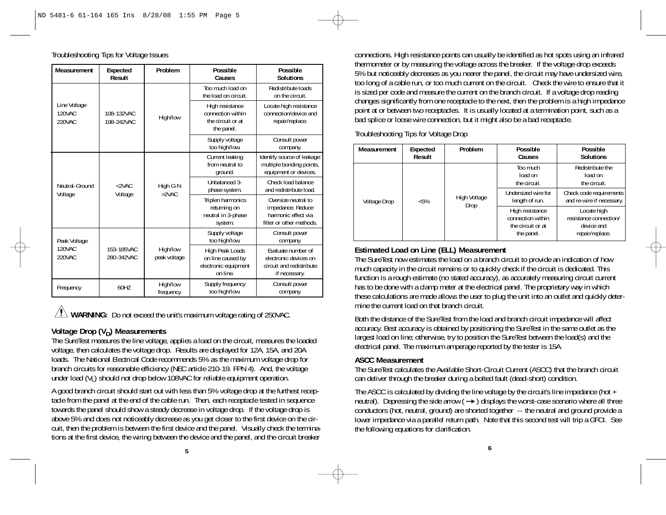**Measurement Expected Problem Possible Possible Result Causes Solutions** Too much load on Redistribute loads the load on circuit.  $\Box$  on the circuit. High resistance | Locate high resistance connection within connection/device and the circuit or at The repair/replace. the panel. Supply voltage Consult power too high/low. company. Current leaking | Identify source of leakage from neutral to  $\parallel$  multiple bonding points, ground. equipment or devices. Unbalanced 3- Check load balance phase system. <br>and redistribute load. Triplen harmonics | Oversize neutral to returning on impedance. Reduce<br>utral in 3-phase harmonic effect via neutral in 3-phase system. **filter or other methods.** Supply voltage | Consult power too high/low. company. High Peak Loads<br>
on line caused by<br>
electronic devices on electronic devices on<br>circuit and redistribute electronic equipment on line. if necessary. Supply frequency | Consult power too high/low. company. Line Voltage 120VAC 220VAC Neutral-Ground Voltage Peak Voltage 120VAC 220VAC Frequency 108-132VAC 198-242VAC  $<$  2VAC. Voltage 153-185VAC 280-342VAC 60HZ High/low High G-N >2VAC High/low peak voltage High/low frequency

Troubleshooting Tips for Voltage Issues

 $\angle$ **!** WARNING: Do not exceed the unit's maximum voltage rating of 250VAC.

# **Voltage Drop (V<sub>D</sub>) Measurements**

The SureTest measures the line voltage, applies a load on the circuit, measures the loaded voltage, then calculates the voltage drop. Results are displayed for 12A, 15A, and 20A loads. The National Electrical Code recommends 5% as the maximum voltage drop for branch circuits for reasonable efficiency (NEC article 210-19. FPN 4). And, the voltage under load  $(V<sub>l</sub>)$  should not drop below 108VAC for reliable equipment operation.

A good branch circuit should start out with less than 5% voltage drop at the furthest receptacle from the panel at the end of the cable run. Then, each receptacle tested in sequence towards the panel should show a steady decrease in voltage drop. If the voltage drop is above 5% and does not noticeably decrease as you get closer to the first device on the circuit, then the problem is between the first device and the panel. Visually check the terminations at the first device, the wiring between the device and the panel, and the circuit breaker

connections. High resistance points can usually be identified as hot spots using an infrared thermometer or by measuring the voltage across the breaker. If the voltage drop exceeds 5% but noticeably decreases as you nearer the panel, the circuit may have undersized wire, too long of a cable run, or too much current on the circuit. Check the wire to ensure that it is sized per code and measure the current on the branch circuit. If a voltage drop reading changes significantly from one receptacle to the next, then the problem is a high impedance point at or between two receptacles. It is usually located at a termination point, such as a bad splice or loose wire connection, but it might also be a bad receptacle.

Troubleshooting Tips for Voltage Drop

| Measurement  | <b>Expected</b><br>Result | Problem              | Possible<br>Causes                                                      | Possible<br><b>Solutions</b>                                           |
|--------------|---------------------------|----------------------|-------------------------------------------------------------------------|------------------------------------------------------------------------|
|              |                           |                      | Too much<br>load on<br>the circuit.                                     | Redistribute the<br>load on<br>the circuit.                            |
| Voltage Drop | $< 5\%$                   | High Voltage<br>Drop | Undersized wire for<br>length of run.                                   | Check code requirements<br>and re-wire if necessary.                   |
|              |                           |                      | High resistance<br>connection within<br>the circuit or at<br>the panel. | Locate high<br>resistance connection/<br>device and<br>repair/replace. |

# **Estimated Load on Line (ELL) Measurement**

The SureTest now estimates the load on a branch circuit to provide an indication of how much capacity in the circuit remains or to quickly check if the circuit is dedicated. This function is a rough estimate (no stated accuracy), as accurately measuring circuit current has to be done with a clamp meter at the electrical panel. The proprietary way in which these calculations are made allows the user to plug the unit into an outlet and quickly determine the current load on that branch circuit.

Both the distance of the SureTest from the load and branch circuit impedance will affect accuracy. Best accuracy is obtained by positioning the SureTest in the same outlet as the largest load on line; otherwise, try to position the SureTest between the load(s) and the electrical panel. The maximum amperage reported by the tester is 15A.

#### **ASCC Measurement**

The SureTest calculates the Available Short-Circuit Current (ASCC) that the branch circuit can deliver through the breaker during a bolted fault (dead-short) condition.

The ASCC is calculated by dividing the line voltage by the circuit's line impedance (hot + neutral). Depressing the side arrow  $( \rightarrow )$  displays the worst-case scenario where all three conductors (hot, neutral, ground) are shorted together -- the neutral and ground provide a lower impedance via a parallel return path. Note that this second test will trip a GFCI. See the following equations for clarification.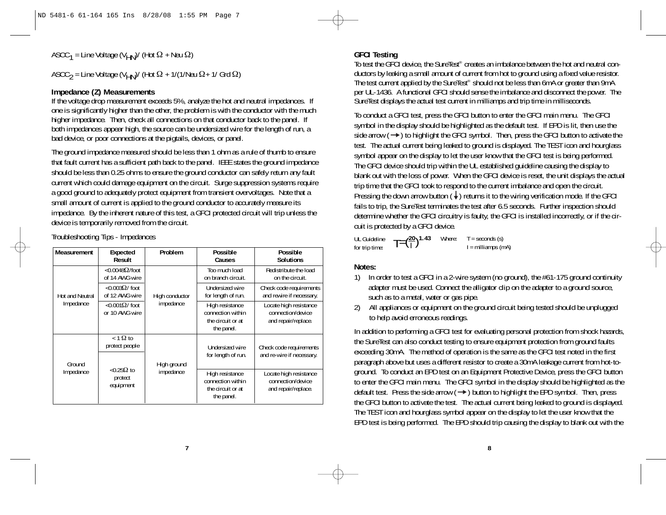ASCC<sub>1</sub> = Line Voltage (V<sub>HN</sub>)/ (Hot  $\Omega$  + Neu  $\Omega$ )

ASCC $_2$  = Line Voltage (V<sub>HN</sub>)/ (Hot  $\Omega$  + 1/(1/Neu  $\Omega$ + 1/ Grd  $\Omega$ )

#### **Impedance (Z) Measurements**

If the voltage drop measurement exceeds 5%, analyze the hot and neutral impedances. If one is significantly higher than the other, the problem is with the conductor with the much higher impedance. Then, check all connections on that conductor back to the panel. If both impedances appear high, the source can be undersized wire for the length of run, a bad device, or poor connections at the pigtails, devices, or panel.

The ground impedance measured should be less than 1 ohm as a rule of thumb to ensure that fault current has a sufficient path back to the panel. IEEE states the ground impedance should be less than 0.25 ohms to ensure the ground conductor can safely return any fault current which could damage equipment on the circuit. Surge suppression systems require a good ground to adequately protect equipment from transient overvoltages. Note that a small amount of current is applied to the ground conductor to accurately measure its impedance. By the inherent nature of this test, a GFCI protected circuit will trip unless the device is temporarily removed from the circuit.

Troubleshooting Tips - Impedances

| Measurement     | Expected<br>Result                          | Problem                           | Possible<br>Causes                                                      | Possible<br><b>Solutions</b>                                       |
|-----------------|---------------------------------------------|-----------------------------------|-------------------------------------------------------------------------|--------------------------------------------------------------------|
|                 | $<$ 0.0048 $\Omega$ /foot<br>of 14 AWG wire |                                   | Too much load<br>on branch circuit.                                     | Redistribute the load<br>on the circuit.                           |
| Hot and Neutral | $<$ 0.003 $\Omega/$ foot<br>of 12 AWG wire  | High conductor                    | Undersized wire<br>for length of run.                                   | Check code requirements<br>and rewire if necessary.                |
| Impedance       | $< 0.001 \Omega$ / foot<br>or 10 AWG wire   | impedance                         | High resistance<br>connection within<br>the circuit or at<br>the panel. | Locate high resistance<br>connection/device<br>and repair/replace. |
| Ground          | $<$ 1 $\Omega$ to<br>protect people         | High ground                       | Undersized wire<br>for length of run.                                   | Check code requirements<br>and re-wire if necessary.               |
| Impedance       | protect<br>equipment                        | $<$ 0.25 $\Omega$ to<br>impedance | High resistance<br>connection within<br>the circuit or at<br>the panel. | Locate high resistance<br>connection/device<br>and repair/replace. |

**7**

# **GFCI Testing**

To test the GFCI device, the SureTest<sup>®</sup> creates an imbalance between the hot and neutral conductors by leaking a small amount of current from hot to ground using a fixed value resistor. The test current applied by the SureTest<sup>®</sup> should not be less than 6mA or greater than 9mA per UL-1436. A functional GFCI should sense the imbalance and disconnect the power. The SureTest displays the actual test current in milliamps and trip time in milliseconds.

To conduct a GFCI test, press the GFCI button to enter the GFCI main menu. The GFCI symbol in the display should be highlighted as the default test. If EPD is lit, then use the side arrow  $(\rightarrow)$  to highlight the GFCI symbol. Then, press the GFCI button to activate the test. The actual current being leaked to ground is displayed. The TEST icon and hourglass symbol appear on the display to let the user know that the GFCI test is being performed. The GFCI device should trip within the UL established guideline causing the display to blank out with the loss of power. When the GFCI device is reset, the unit displays the actual trip time that the GFCI took to respond to the current imbalance and open the circuit. Pressing the down arrow button  $(\downarrow)$  returns it to the wiring verification mode. If the GFCI fails to trip, the SureTest terminates the test after 6.5 seconds. Further inspection should determine whether the GFCI circuitry is faulty, the GFCI is installed incorrectly, or if the circuit is protected by a GFCI device.

UL Guideline for trip time:  $T = \left(\frac{20}{1}\right)^{1.43}$  Where:  $T =$  seconds (s)<br> $I =$  milliamps (mA)

#### **Notes:**

- 1) In order to test a GFCI in a 2-wire system (no ground), the #61-175 ground continuity adapter must be used. Connect the alligator clip on the adapter to a ground source, such as to a metal, water or gas pipe.
- 2) All appliances or equipment on the ground circuit being tested should be unplugged to help avoid erroneous readings.

In addition to performing a GFCI test for evaluating personal protection from shock hazards, the SureTest can also conduct testing to ensure equipment protection from ground faults exceeding 30mA. The method of operation is the same as the GFCI test noted in the first paragraph above but uses a different resistor to create a 30mA leakage current from hot-toground. To conduct an EPD test on an Equipment Protective Device, press the GFCI button to enter the GFCI main menu. The GFCI symbol in the display should be highlighted as the default test. Press the side arrow  $(\rightarrow)$  button to highlight the EPD symbol. Then, press the GFCI button to activate the test. The actual current being leaked to ground is displayed. The TEST icon and hourglass symbol appear on the display to let the user know that the EPD test is being performed. The EPD should trip causing the display to blank out with the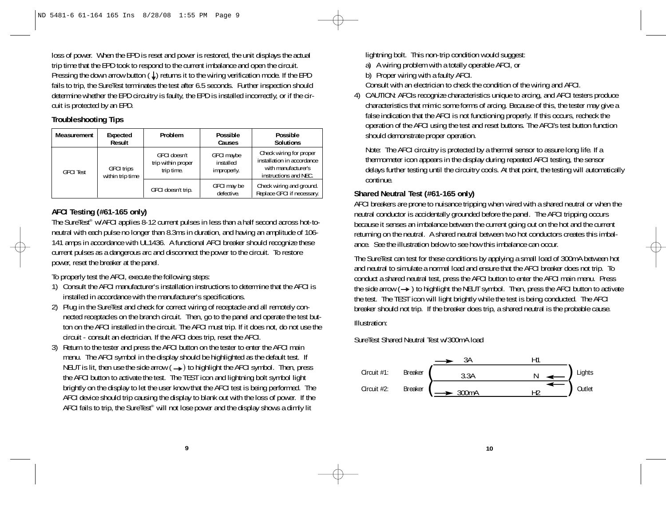loss of power. When the EPD is reset and power is restored, the unit displays the actual trip time that the EPD took to respond to the current imbalance and open the circuit. Pressing the down arrow button  $(\downarrow)$  returns it to the wiring verification mode. If the EPD fails to trip, the SureTest terminates the test after 6.5 seconds. Further inspection should determine whether the EPD circuitry is faulty, the EPD is installed incorrectly, or if the circuit is protected by an EPD.

### **Troubleshooting Tips**

| Measurement      | Expected<br>Result                    | Problem                                          | Possible<br>Causes                     | Possible<br><b>Solutions</b>                                                                          |
|------------------|---------------------------------------|--------------------------------------------------|----------------------------------------|-------------------------------------------------------------------------------------------------------|
| <b>GFCI</b> Test | <b>GFCI trips</b><br>within trip time | GFCI doesn't<br>trip within proper<br>trip time. | GFCI maybe<br>installed<br>improperly. | Check wiring for proper<br>installation in accordance<br>with manufacturer's<br>instructions and NEC. |
|                  |                                       | GFCI doesn't trip.                               | GFCI may be<br>defective.              | Check wiring and ground.<br>Replace GFCI if necessary.                                                |

# **AFCI Testing (#61-165 only)**

The SureTest® w/AFCI applies 8-12 current pulses in less than a half second across hot-toneutral with each pulse no longer than 8.3ms in duration, and having an amplitude of 106- 141 amps in accordance with UL1436. A functional AFCI breaker should recognize these current pulses as a dangerous arc and disconnect the power to the circuit. To restore power, reset the breaker at the panel.

To properly test the AFCI, execute the following steps:

- 1) Consult the AFCI manufacturer's installation instructions to determine that the AFCI is installed in accordance with the manufacturer's specifications.
- 2) Plug in the SureTest and check for correct wiring of receptacle and all remotely connected receptacles on the branch circuit. Then, go to the panel and operate the test button on the AFCI installed in the circuit. The AFCI must trip. If it does not, do not use the circuit - consult an electrician. If the AFCI does trip, reset the AFCI.
- 3) Return to the tester and press the AFCI button on the tester to enter the AFCI main menu. The AFCI symbol in the display should be highlighted as the default test. If NEUT is lit, then use the side arrow  $($   $\rightarrow)$  to highlight the AFCI symbol. Then, press the AFCI button to activate the test. The TEST icon and lightning bolt symbol light brightly on the display to let the user know that the AFCI test is being performed. The AFCI device should trip causing the display to blank out with the loss of power. If the AFCI fails to trip, the SureTest® will not lose power and the display shows a dimly lit

**9**

lightning bolt. This non-trip condition would suggest:

a) A wiring problem with a totally operable AFCI, or

b) Proper wiring with a faulty AFCI.

- Consult with an electrician to check the condition of the wiring and AFCI.
- 4) CAUTION: AFCIs recognize characteristics unique to arcing, and AFCI testers produce characteristics that mimic some forms of arcing. Because of this, the tester may give a false indication that the AFCI is not functioning properly. If this occurs, recheck the operation of the AFCI using the test and reset buttons. The AFCI's test button function should demonstrate proper operation.

Note: The AFCI circuitry is protected by a thermal sensor to assure long life. If a thermometer icon appears in the display during repeated AFCI testing, the sensor delays further testing until the circuitry cools. At that point, the testing will automatically continue.

# **Shared Neutral Test (#61-165 only)**

AFCI breakers are prone to nuisance tripping when wired with a shared neutral or when the neutral conductor is accidentally grounded before the panel. The AFCI tripping occurs because it senses an imbalance between the current going out on the hot and the current returning on the neutral. A shared neutral between two hot conductors creates this imbalance. See the illustration below to see how this imbalance can occur.

The SureTest can test for these conditions by applying a small load of 300mA between hot and neutral to simulate a normal load and ensure that the AFCI breaker does not trip. To conduct a shared neutral test, press the AFCI button to enter the AFCI main menu. Press the side arrow  $(\rightarrow)$  to highlight the NEUT symbol. Then, press the AFCI button to activate the test. The TEST icon will light brightly while the test is being conducted. The AFCI breaker should not trip. If the breaker does trip, a shared neutral is the probable cause.

Illustration:

SureTest Shared Neutral Test w/300mA load

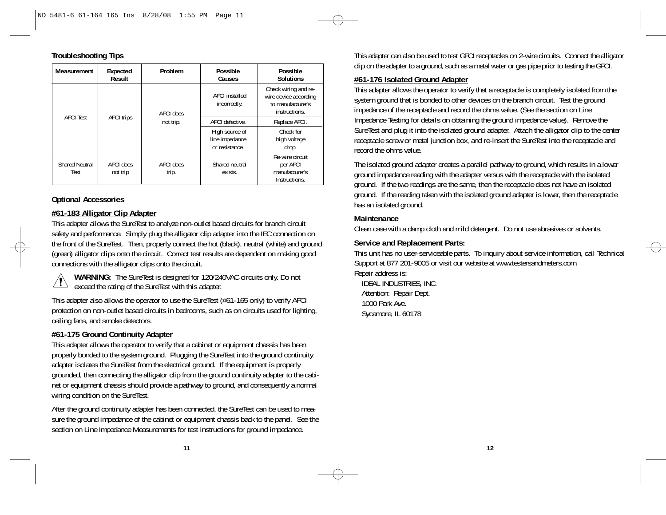| <b>Troubleshooting Tips</b> |  |
|-----------------------------|--|
|-----------------------------|--|

| Measurement                   | Expected<br>Result             | Problem            | Possible<br>Causes                                 | Possible<br><b>Solutions</b>                                                        |
|-------------------------------|--------------------------------|--------------------|----------------------------------------------------|-------------------------------------------------------------------------------------|
|                               |                                | AFCI does          | <b>AFCI</b> installed<br>incorrectly.              | Check wiring and re-<br>wire device according<br>to manufacturer's<br>instructions. |
| <b>AFCI</b> Test              | <b>AFCI trips</b><br>not trip. |                    | AFCI defective.                                    | Replace AFCI.                                                                       |
|                               |                                |                    | High source of<br>line impedance<br>or resistance. | Check for<br>high voltage<br>drop.                                                  |
| <b>Shared Neutral</b><br>Test | AFCI does<br>not trip          | AFCI does<br>trip. | Shared neutral<br>exists.                          | Re-wire circuit<br>per AFCI<br>manufacturer's<br>Instructions.                      |

# **Optional Accessories**

# **#61-183 Alligator Clip Adapter**

This adapter allows the SureTest to analyze non-outlet based circuits for branch circuit safety and performance. Simply plug the alligator clip adapter into the IEC connection on the front of the SureTest. Then, properly connect the hot (black), neutral (white) and ground (green) alligator clips onto the circuit. Correct test results are dependent on making good connections with the alligator clips onto the circuit.



**WARNING:** The SureTest is designed for 120/240VAC circuits only. Do not exceed the rating of the SureTest with this adapter.

This adapter also allows the operator to use the SureTest (#61-165 only) to verify AFCI protection on non-outlet based circuits in bedrooms, such as on circuits used for lighting, ceiling fans, and smoke detectors.

# **#61-175 Ground Continuity Adapter**

This adapter allows the operator to verify that a cabinet or equipment chassis has been properly bonded to the system ground. Plugging the SureTest into the ground continuity adapter isolates the SureTest from the electrical ground. If the equipment is properly grounded, then connecting the alligator clip from the ground continuity adapter to the cabinet or equipment chassis should provide a pathway to ground, and consequently a normal wiring condition on the SureTest.

After the ground continuity adapter has been connected, the SureTest can be used to measure the ground impedance of the cabinet or equipment chassis back to the panel. See the section on Line Impedance Measurements for test instructions for ground impedance.

This adapter can also be used to test GFCI receptacles on 2-wire circuits. Connect the alligator clip on the adapter to a ground, such as a metal water or gas pipe prior to testing the GFCI.

#### **#61-176 Isolated Ground Adapter**

This adapter allows the operator to verify that a receptacle is completely isolated from the system ground that is bonded to other devices on the branch circuit. Test the ground impedance of the receptacle and record the ohms value. (See the section on Line Impedance Testing for details on obtaining the ground impedance value). Remove the SureTest and plug it into the isolated ground adapter. Attach the alligator clip to the center receptacle screw or metal junction box, and re-insert the SureTest into the receptacle and record the ohms value.

The isolated ground adapter creates a parallel pathway to ground, which results in a lower ground impedance reading with the adapter versus with the receptacle with the isolated ground. If the two readings are the same, then the receptacle does not have an isolated ground. If the reading taken with the isolated ground adapter is lower, then the receptacle has an isolated ground.

### **Maintenance**

Clean case with a damp cloth and mild detergent. Do not use abrasives or solvents.

# **Service and Replacement Parts:**

This unit has no user-serviceable parts. To inquiry about service information, call Technical Support at 877 201-9005 or visit our website at www.testersandmeters.com. Repair address is:

IDEAL INDUSTRIES, INC. Attention: Repair Dept. 1000 Park Ave. Sycamore, IL 60178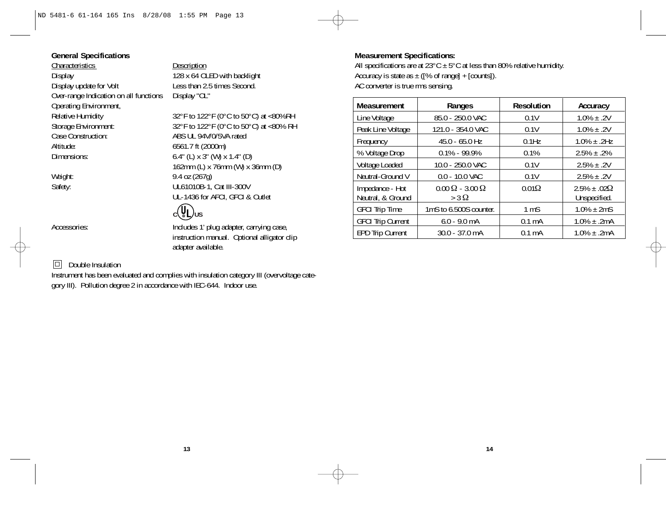# **General Specifications**

Characteristics Description<br>Display 128 x 64 OL Display 128 x 64 OLED with backlight<br>Display update for Volt Less than 2.5 times Second. Over-range Indication on all functions Operating Environment,<br>Relative Humidity Relative Humidity  $32^{\circ}F$  to  $122^{\circ}F$  ( $0^{\circ}C$  to  $50^{\circ}C$ ) at <80%RH<br>Storage Environment:  $32^{\circ}F$  to  $122^{\circ}F$  ( $0^{\circ}C$  to  $50^{\circ}C$ ) at <80% RH Altitude: 6561.7 ft (2000m) Dimensions: 6.4" (L) x 3" (W) x 1.4" (D)

Less than 2.5 times Second.<br>Display "OL"

Storage Environment: 32°F to 122°F (0°C to 50°C) at <80% RH<br>Case Construction: ABS UL 94V/0/5VA rated ABS UL 94V/0/5VA rated 162mm (L) x 76mm (W) x 36mm (D) Weight: 9.4 oz (267g) Safety: UL61010B-1, Cat III-300V UL-1436 for AFCI, GFCI & Outlet

# c**(U<sub>US</sub>**

Accessories:  $\blacksquare$  Includes 1' plug adapter, carrying case, instruction manual. Optional alligator clip adapter available.

# $\Box$  Double Insulation

Instrument has been evaluated and complies with insulation category III (overvoltage category III). Pollution degree 2 in accordance with IEC-644. Indoor use.

# **Measurement Specifications:**

All specifications are at  $23^{\circ}$ C  $\pm$  5°C at less than 80% relative humidity. Accuracy is state as  $\pm$  ([% of range] + [counts]). AC converter is true rms sensing.

| Measurement                          | Ranges                                        | <b>Resolution</b> | Accuracy                            |
|--------------------------------------|-----------------------------------------------|-------------------|-------------------------------------|
| Line Voltage                         | 85.0 - 250.0 VAC                              | 0.1V              | $1.0\% \pm .2V$                     |
| Peak Line Voltage                    | 121.0 - 354.0 VAC                             | 0.1V              | $1.0\% \pm .2V$                     |
| Frequency                            | $45.0 - 65.0$ Hz                              | $0.1$ Hz          | $1.0\% \pm .2$ Hz                   |
| % Voltage Drop                       | $0.1\% - 99.9\%$                              | 0.1%              | $2.5\% \pm .2\%$                    |
| Voltage Loaded                       | 10.0 - 250.0 VAC                              | 0.1V              | $2.5\% \pm .2V$                     |
| Neutral-Ground V                     | $0.0 - 10.0$ VAC                              | 0.1V              | $2.5\% \pm .2V$                     |
| Impedance - Hot<br>Neutral, & Ground | $0.00 \Omega - 3.00 \Omega$<br>$>$ 3 $\Omega$ | $0.01\Omega$      | $2.5\% + .02\Omega$<br>Unspecified. |
| <b>GFCI Trip Time</b>                | 1mS to 6.500S counter.                        | 1 <sub>m</sub> S  | $1.0\% \pm 2mS$                     |
| <b>GFCI Trip Current</b>             | $6.0 - 9.0$ mA                                | $0.1 \text{ mA}$  | $1.0\% \pm .2mA$                    |
| <b>EPD Trip Current</b>              | $30.0 - 37.0$ mA                              | $0.1 \text{ mA}$  | $1.0\% \pm .2mA$                    |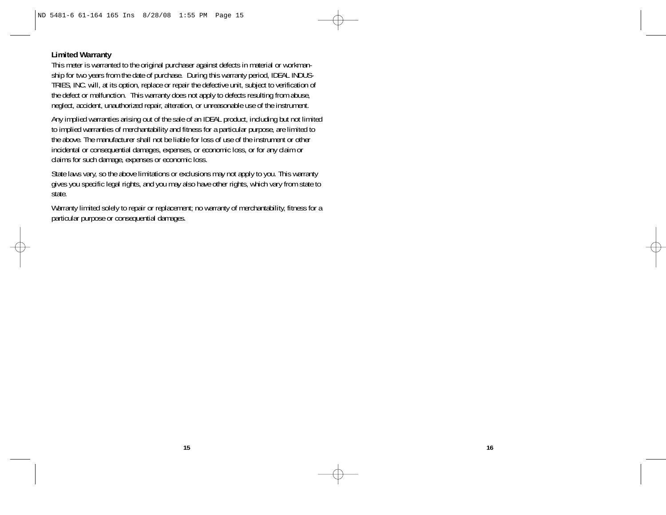# **Limited Warranty**

This meter is warranted to the original purchaser against defects in material or workmanship for two years from the date of purchase. During this warranty period, IDEAL INDUS-TRIES, INC. will, at its option, replace or repair the defective unit, subject to verification of the defect or malfunction. This warranty does not apply to defects resulting from abuse, neglect, accident, unauthorized repair, alteration, or unreasonable use of the instrument.

Any implied warranties arising out of the sale of an IDEAL product, including but not limited to implied warranties of merchantability and fitness for a particular purpose, are limited to the above. The manufacturer shall not be liable for loss of use of the instrument or other incidental or consequential damages, expenses, or economic loss, or for any claim or claims for such damage, expenses or economic loss.

State laws vary, so the above limitations or exclusions may not apply to you. This warranty gives you specific legal rights, and you may also have other rights, which vary from state to state.

Warranty limited solely to repair or replacement; no warranty of merchantability, fitness for a particular purpose or consequential damages.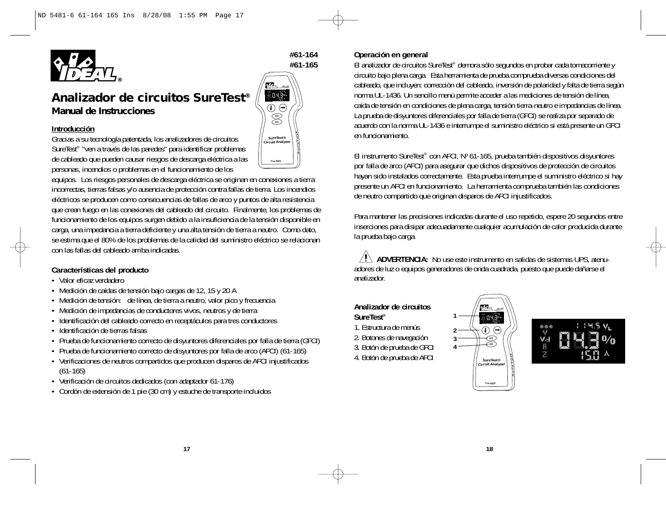

**#61-164 #61-165**

**T**

**GFCI AFCI**

 $043$ 

*SureTest®* **Circuit Analy** 

> **True RMS**

# *Analizador de circuitos SureTest® Manual de Instrucciones*

#### **Introducción**

Gracias a su tecnología patentada, los analizadores de circuitos SureTest® "ven a través de las paredes" para identificar problemas de cableado que pueden causar riesgos de descarga eléctrica a las personas, incendios o problemas en el funcionamiento de los

equipos. Los riesgos personales de descarga eléctrica se originan en conexiones a tierra incorrectas, tierras falsas y/o ausencia de protección contra fallas de tierra. Los incendios eléctricos se producen como consecuencias de fallas de arco y puntos de alta resistencia que crean fuego en las conexiones del cableado del circuito. Finalmente, los problemas de funcionamiento de los equipos surgen debido a la insuficiencia de la tensión disponible en carga, una impedancia a tierra deficiente y una alta tensión de tierra a neutro. Como dato, se estima que el 80% de los problemas de la calidad del suministro eléctrico se relacionan con las fallas del cableado arriba indicadas.

### **Características del producto**

- Valor eficaz verdadero
- Medición de caídas de tensión bajo cargas de 12, 15 y 20 A
- Medición de tensión: de línea, de tierra a neutro, valor pico y frecuencia
- Medición de impedancias de conductores vivos, neutros y de tierra
- Identificación del cableado correcto en receptáculos para tres conductores
- Identificación de tierras falsas
- Prueba de funcionamiento correcto de disyuntores diferenciales por falla de tierra (GFCI)
- Prueba de funcionamiento correcto de disyuntores por falla de arco (AFCI) (61-165)
- Verificaciones de neutros compartidos que producen disparos de AFCI injustificados (61-165)
- Verificación de circuitos dedicados (con adaptador 61-176)
- Cordón de extensión de 1 pie (30 cm) y estuche de transporte incluidos

#### **Operación en general**

El analizador de circuitos SureTest® demora sólo segundos en probar cada tomacorriente y circuito bajo plena carga. Esta herramienta de prueba comprueba diversas condiciones del cableado, que incluyen: corrección del cableado, inversión de polaridad y falta de tierra según norma UL-1436. Un sencillo menú permite acceder a las mediciones de tensión de línea, caída de tensión en condiciones de plena carga, tensión tierra-neutro e impedancias de línea. La prueba de disyuntores diferenciales por falla de tierra (GFCI) se realiza por separado de acuerdo con la norma UL-1436 e interrumpe el suministro eléctrico si está presente un GFCI en funcionamiento.

El instrumento SureTest® con AFCI, Nº 61-165, prueba también dispositivos disyuntores por falla de arco (AFCI) para asegurar que dichos dispositivos de protección de circuitos hayan sido instalados correctamente. Esta prueba interrumpe el suministro eléctrico si hay presente un AFCI en funcionamiento. La herramienta comprueba también las condiciones de neutro compartido que originan disparos de AFCI injustificados.

Para mantener las precisiones indicadas durante el uso repetido, espere 20 segundos entre inserciones para disipar adecuadamente cualquier acumulación de calor producida durante la prueba bajo carga.

 $\mathcal{A}$  **ADVERTENCIA:** No use este instrumento en salidas de sistemas UPS, atenuadores de luz o equipos generadores de onda cuadrada, puesto que puede dañarse el analizador.

# **Analizador de circuitos**

- **SureTest®** 1. Estructura de menús
- 2. Botones de navegación
- 3. Botón de prueba de GFCI
- 4. Botón de prueba de AFCI
- 





**18**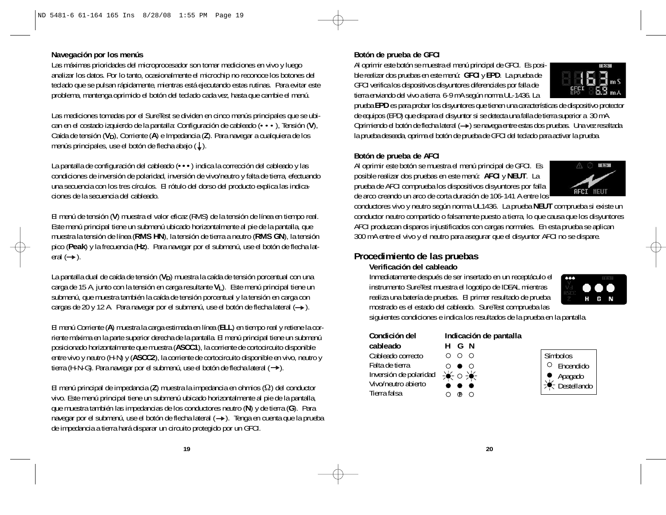#### **Navegación por los menús**

Las máximas prioridades del microprocesador son tomar mediciones en vivo y luego analizar los datos. Por lo tanto, ocasionalmente el microchip no reconoce los botones del teclado que se pulsan rápidamente, mientras está ejecutando estas rutinas. Para evitar este problema, mantenga oprimido el botón del teclado cada vez, hasta que cambie el menú.

Las mediciones tomadas por el SureTest se dividen en cinco menús principales que se ubican en el costado izquierdo de la pantalla: Configuración de cableado (•••), Tensión (**V**), Caída de tensión (V<sub>D</sub>), Corriente (A) e Impedancia (Z). Para navegar a cualquiera de los menús principales, use el botón de flecha abajo  $(L)$ .

La pantalla de configuración del cableado (**•••**) indica la corrección del cableado y las condiciones de inversión de polaridad, inversión de vivo/neutro y falta de tierra, efectuando una secuencia con los tres círculos. El rótulo del dorso del producto explica las indicaciones de la secuencia del cableado.

El menú de tensión (**V**) muestra el valor eficaz (RMS) de la tensión de línea en tiempo real. Este menú principal tiene un submenú ubicado horizontalmente al pie de la pantalla, que muestra la tensión de línea (**RMS HN**), la tensión de tierra a neutro (**RMS GN**), la tensión pico (**Peak**) y la frecuencia (**Hz**). Para navegar por el submenú, use el botón de flecha lateral  $(\rightarrow)$ .

La pantalla dual de caída de tensión (V<sub>D</sub>) muestra la caída de tensión porcentual con una carga de 15 A, junto con la tensión en carga resultante **V<sub>L</sub>**). Este menú principal tiene un submenú, que muestra también la caída de tensión porcentual y la tensión en carga con cargas de 20 y 12 A. Para navegar por el submenú, use el botón de flecha lateral  $(\rightarrow)$ .

El menú Corriente (**A**) muestra la carga estimada en línea (**ELL**) en tiempo real y retiene la corriente máxima en la parte superior derecha de la pantalla. El menú principal tiene un submenú posicionado horizontalmente que muestra (**ASCC1**), la corriente de cortocircuito disponible entre vivo y neutro (H-N) y (**ASCC2**), la corriente de cortocircuito disponible en vivo, neutro y tierra (H-N-G). Para navegar por el submenú, use el botón de flecha lateral  $(\rightarrow)$ .

El menú principal de impedancia (**Z**) muestra la impedancia en ohmios (Ω) del conductor vivo. Este menú principal tiene un submenú ubicado horizontalmente al pie de la pantalla, que muestra también las impedancias de los conductores neutro (**N**) y de tierra (**G**). Para navegar por el submenú, use el botón de flecha lateral (-). Tenga en cuenta que la prueba de impedancia a tierra hará disparar un circuito protegido por un GFCI.

#### **Botón de prueba de GFCI**

Al oprimir este botón se muestra el menú principal de GFCI. Es posible realizar dos pruebas en este menú: **GFCI** y **EPD**. La prueba de GFCI verifica los dispositivos disyuntores diferenciales por falla de tierra enviando del vivo a tierra 6-9 mA según norma UL-1436. La



prueba **EPD** es para probar los disyuntores que tienen una características de dispositivo protector de equipos (EPD) que dispara el disyuntor si se detecta una falla de tierra superior a 30 mA. Oprimiendo el botón de flecha lateral (->) se navega entre estas dos pruebas. Una vez resaltada la prueba deseada, oprima el botón de prueba de GFCI del teclado para activar la prueba.

#### **Botón de prueba de AFCI**

Al oprimir este botón se muestra el menú principal de GFCI. Es posible realizar dos pruebas en este menú: **AFCI** y **NEUT**. La prueba de AFCI comprueba los dispositivos disyuntores por falla de arco creando un arco de corta duración de 106-141 A entre los



conductores vivo y neutro según norma UL1436. La prueba **NEUT** comprueba si existe un conductor neutro compartido o falsamente puesto a tierra, lo que causa que los disyuntores AFCI produzcan disparos injustificados con cargas normales. En esta prueba se aplican 300 mA entre el vivo y el neutro para asegurar que el disyuntor AFCI no se dispare.

# **Procedimiento de las pruebas**

# **Verificación del cableado**

Inmediatamente después de ser insertado en un receptáculo el instrumento SureTest muestra el logotipo de IDEAL mientras realiza una batería de pruebas. El primer resultado de prueba mostrado es el estado del cableado. SureTest comprueba las



siguientes condiciones e indica los resultados de la prueba en la pantalla.

| Condición del                                                                    |   |                   | Indicación de pantalla |
|----------------------------------------------------------------------------------|---|-------------------|------------------------|
| cableado                                                                         |   | HGN               |                        |
| Cableado correcto                                                                |   | - റ റ             |                        |
| Falta de tierra                                                                  | ∩ | $\bullet$ $\circ$ |                        |
| Inversión de polaridad $\Rightarrow$ $\bullet \Rightarrow$ $\bullet \Rightarrow$ |   |                   |                        |
| Vivo/neutro abierto                                                              |   |                   |                        |
| Tierra falsa                                                                     |   |                   |                        |

# Símbolos Encendido Apagado Destellando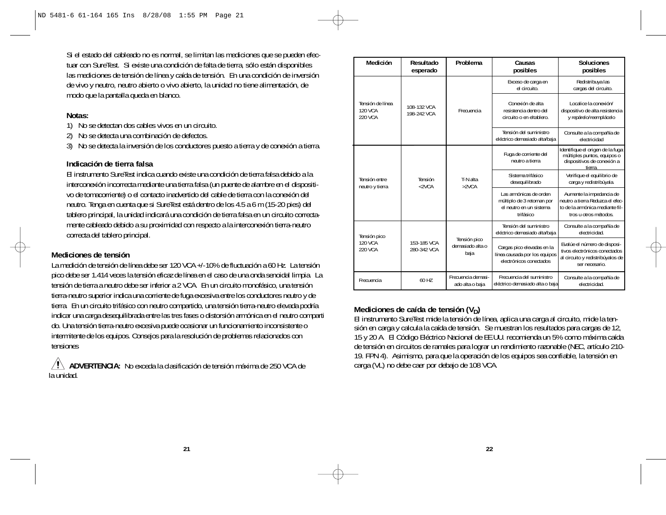Si el estado del cableado no es normal, se limitan las mediciones que se pueden efectuar con SureTest. Si existe una condición de falta de tierra, sólo están disponibles las mediciones de tensión de línea y caída de tensión. En una condición de inversión de vivo y neutro, neutro abierto o vivo abierto, la unidad no tiene alimentación, de modo que la pantalla queda en blanco.

# **Notas:**

- 1) No se detectan dos cables vivos en un circuito.
- 2) No se detecta una combinación de defectos.
- 3) No se detecta la inversión de los conductores puesto a tierra y de conexión a tierra.

#### **Indicación de tierra falsa**

El instrumento SureTest indica cuando existe una condición de tierra falsa debido a la interconexión incorrecta mediante una tierra falsa (un puente de alambre en el dispositivo de tomacorriente) o el contacto inadvertido del cable de tierra con la conexión del neutro. Tenga en cuenta que si SureTest está dentro de los 4.5 a 6 m (15-20 pies) del tablero principal, la unidad indicará una condición de tierra falsa en un circuito correctamente cableado debido a su proximidad con respecto a la interconexión tierra-neutro correcta del tablero principal.

# **Mediciones de tensión**

La medición de tensión de línea debe ser 120 VCA +/-10% de fluctuación a 60 Hz. La tensión pico debe ser 1.414 veces la tensión eficaz de línea en el caso de una onda senoidal limpia. La tensión de tierra a neutro debe ser inferior a 2 VCA. En un circuito monofásico, una tensión tierra-neutro superior indica una corriente de fuga excesiva entre los conductores neutro y de tierra. En un circuito trifásico con neutro compartido, una tensión tierra-neutro elevada podría indicar una carga desequilibrada entre las tres fases o distorsión armónica en el neutro comparti do. Una tensión tierra-neutro excesiva puede ocasionar un funcionamiento inconsistente o intermitente de los equipos. Consejos para la resolución de problemas relacionados con tensiones

**ADVERTENCIA:** No exceda la clasificación de tensión máxima de 250 VCA de la unidad.

| Medición                               | Resultado<br>esperado                              | Problema                              | Causas<br>posibles                                                                           | <b>Soluciones</b><br>posibles                                                                                            |
|----------------------------------------|----------------------------------------------------|---------------------------------------|----------------------------------------------------------------------------------------------|--------------------------------------------------------------------------------------------------------------------------|
|                                        |                                                    |                                       | Exceso de carga en<br>el circuito.                                                           | Redistribuya las<br>cargas del circuito.                                                                                 |
| Tensión de línea<br>120 VCA<br>220 VCA | 108-132 VCA<br>198-242 VCA                         | Frecuencia                            | Conexión de alta<br>resistencia dentro del<br>circuito o en eltablero.                       | Localice la conexión/<br>dispositivo de alta resistencia<br>y repárelo/reemplácelo                                       |
|                                        |                                                    |                                       | Tensión del suministro<br>eléctrico demasiado alta/baja                                      | Consulte a la compañía de<br>electricidad                                                                                |
|                                        |                                                    |                                       | Fuga de corriente del<br>neutro a tierra                                                     | Identifique el origen de la fuga:<br>múltiples puntos, equipos o<br>dispositivos de conexión a<br>tierra.                |
| Tensión entre<br>neutro y tierra       | Tensión<br><2VCA                                   | T-N alta<br>>2VCA                     | Sistema trifásico<br>desequilibrado                                                          | Verifique el equilibrio de<br>carga y redistribúyala.                                                                    |
|                                        |                                                    |                                       | Las armónicas de orden<br>múltiplo de 3 retornan por<br>el neutro en un sistema<br>trifásico | Aumente la impedancia de<br>neutro a tierra Reduzca el efec-<br>to de la armónica mediante fil-<br>tros u otros métodos. |
| Tensión pico                           |                                                    |                                       | Tensión del suministro<br>eléctrico demasiado alta/baja                                      | Consulte a la compañía de<br>electricidad.                                                                               |
| 120 VCA<br>220 VCA                     | Tensión pico<br>153-185 VCA<br>280-342 VCA<br>baja | demasiado alta o                      | Cargas pico elevadas en la<br>línea causada por los equipos<br>electrónicos conectados       | Evalúe el número de disposi-<br>tivos electrónicos conectados<br>al circuito y redistribúyalos de<br>ser necesario.      |
| Frecuencia                             | 60 H7                                              | Frecuencia demasi-<br>ado alta o baja | Frecuencia del suministro<br>eléctrico demasiado alta o baja                                 | Consulte a la compañía de<br>electricidad.                                                                               |

### Mediciones de caída de tensión (V<sub>D</sub>)

El instrumento SureTest mide la tensión de línea, aplica una carga al circuito, mide la tensión en carga y calcula la caída de tensión. Se muestran los resultados para cargas de 12, 15 y 20 A. El Código Eléctrico Nacional de EE.UU. recomienda un 5% como máxima caída de tensión en circuitos de ramales para lograr un rendimiento razonable (NEC, artículo 210- 19. FPN 4). Asimismo, para que la operación de los equipos sea confiable, la tensión en carga (VL) no debe caer por debajo de 108 VCA.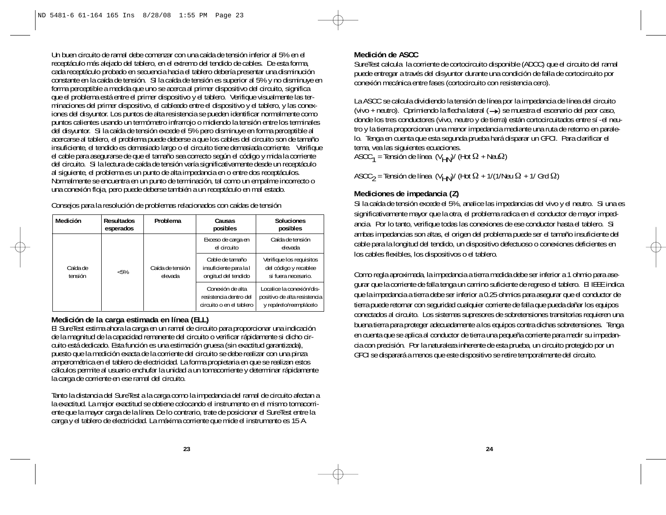Un buen circuito de ramal debe comenzar con una caída de tensión inferior al 5% en el receptáculo más alejado del tablero, en el extremo del tendido de cables. De esta forma, cada receptáculo probado en secuencia hacia el tablero debería presentar una disminución constante en la caída de tensión. SI la caída de tensión es superior al 5% y no disminuye en forma perceptible a medida que uno se acerca al primer dispositivo del circuito, significa que el problema está entre el primer dispositivo y el tablero. Verifique visualmente las terminaciones del primer dispositivo, el cableado entre el dispositivo y el tablero, y las conexiones del disyuntor. Los puntos de alta resistencia se pueden identificar normalmente como puntos calientes usando un termómetro infrarrojo o midiendo la tensión entre los terminales del disyuntor. Si la caída de tensión excede el 5% pero disminuye en forma perceptible al acercarse al tablero, el problema puede deberse a que los cables del circuito son de tamaño insuficiente, el tendido es demasiado largo o el circuito tiene demasiada corriente. Verifique el cable para asegurarse de que el tamaño sea correcto según el código y mida la corriente del circuito. Si la lectura de caída de tensión varía significativamente desde un receptáculo al siguiente, el problema es un punto de alta impedancia en o entre dos receptáculos. Normalmente se encuentra en un punto de terminación, tal como un empalme incorrecto o una conexión floja, pero puede deberse también a un receptáculo en mal estado.

Consejos para la resolución de problemas relacionados con caídas de tensión

| Medición            | <b>Resultados</b><br>esperados | Problema                    | Causas<br>posibles                                                     | <b>Soluciones</b><br>posibles                                                       |
|---------------------|--------------------------------|-----------------------------|------------------------------------------------------------------------|-------------------------------------------------------------------------------------|
|                     |                                |                             | Exceso de carga en<br>el circuito                                      | Caída de tensión<br>elevada                                                         |
| Caída de<br>tensión | $< 5\%$                        | Caída de tensión<br>elevada | Cable de tamaño<br>insuficiente para la l<br>ongitud del tendido       | Verifique los requisitos<br>del código y recablee<br>si fuera necesario.            |
|                     |                                |                             | Conexión de alta<br>resistencia dentro del<br>circuito o en el tablero | Localice la conexión/dis-<br>positivo de alta resistencia<br>y repárelo/reemplácelo |

#### **Medición de la carga estimada en línea (ELL)**

El SureTest estima ahora la carga en un ramal de circuito para proporcionar una indicación de la magnitud de la capacidad remanente del circuito o verificar rápidamente si dicho circuito está dedicado. Esta función es una estimación gruesa (sin exactitud garantizada), puesto que la medición exacta de la corriente del circuito se debe realizar con una pinza amperométrica en el tablero de electricidad. La forma propietaria en que se realizan estos cálculos permite al usuario enchufar la unidad a un tomacorriente y determinar rápidamente la carga de corriente en ese ramal del circuito.

Tanto la distancia del SureTest a la carga como la impedancia del ramal de circuito afectan a la exactitud. La mejor exactitud se obtiene colocando el instrumento en el mismo tomacorriente que la mayor carga de la línea. De lo contrario, trate de posicionar el SureTest entre la carga y el tablero de electricidad. La máxima corriente que mide el instrumento es 15 A.

#### **Medición de ASCC**

SureTest calcula la corriente de cortocircuito disponible (ADCC) que el circuito del ramal puede entregar a través del disyuntor durante una condición de falla de cortocircuito por conexión mecánica entre fases (cortocircuito con resistencia cero).

La ASCC se calcula dividiendo la tensión de línea por la impedancia de línea del circuito (vivo + neutro). Oprimiendo la flecha lateral  $( \rightarrow )$  se muestra el escenario del peor caso, donde los tres conductores (vivo, neutro y de tierra) están cortocircuitados entre sí -el neutro y la tierra proporcionan una menor impedancia mediante una ruta de retorno en paralelo. Tenga en cuenta que esta segunda prueba hará disparar un GFCI. Para clarificar el tema, vea las siguientes ecuaciones.

ASCC $_{1}$  = Tensión de línea (V $_{\rm HN}$ )/ (Hot  $\Omega$  + Neu $\Omega$ )

ASCC<sub>2</sub> = Tensión de línea (V<sub>HN</sub>)/ (Hot  $\Omega$  + 1/(1/Neu  $\Omega$  + 1/ Grd  $\Omega$ )

# **Mediciones de impedancia (Z)**

Si la caída de tensión excede el 5%, analice las impedancias del vivo y el neutro. Si una es significativamente mayor que la otra, el problema radica en el conductor de mayor impedancia. Por lo tanto, verifique todas las conexiones de ese conductor hasta el tablero. Si ambas impedancias son altas, el origen del problema puede ser el tamaño insuficiente del cable para la longitud del tendido, un dispositivo defectuoso o conexiones deficientes en los cables flexibles, los dispositivos o el tablero.

Como regla aproximada, la impedancia a tierra medida debe ser inferior a 1 ohmio para asegurar que la corriente de falla tenga un camino suficiente de regreso el tablero. El IEEE indica que la impedancia a tierra debe ser inferior a 0.25 ohmios para asegurar que el conductor de tierra puede retornar con seguridad cualquier corriente de falla que pueda dañar los equipos conectados al circuito. Los sistemas supresores de sobretensiones transitorias requieren una buena tierra para proteger adecuadamente a los equipos contra dichas sobretensiones. Tenga en cuenta que se aplica al conductor de tierra una pequeña corriente para medir su impedancia con precisión. Por la naturaleza inherente de esta prueba, un circuito protegido por un GFCI se disparará a menos que este dispositivo se retire temporalmente del circuito.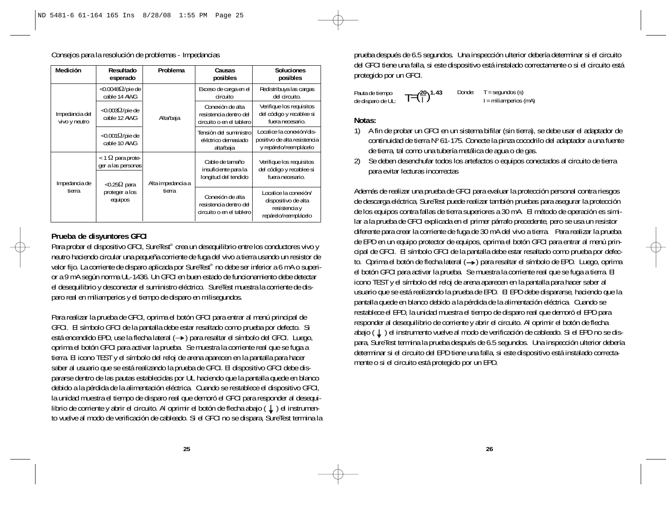|  | Medición                        | Resultado<br>esperado                                                      | Problema                                                                             | Causas<br>posibles                                                       | <b>Soluciones</b><br>posibles                                                         |
|--|---------------------------------|----------------------------------------------------------------------------|--------------------------------------------------------------------------------------|--------------------------------------------------------------------------|---------------------------------------------------------------------------------------|
|  |                                 | <0.0048 $\Omega$ /pie de<br>cable 14 AWG                                   | Alta/baja                                                                            | Exceso de carga en el<br>circuito                                        | Redistribuya las cargas<br>del circuito.                                              |
|  | Impedancia del<br>vivo y neutro | $<$ 0.003 $\Omega$ /pie de<br>cable 12 AWG                                 |                                                                                      | Conexión de alta<br>resistencia dentro del<br>circuito o en el tablero   | Verifique los requisitos<br>del código y recablee si<br>fuera necesario.              |
|  |                                 | $<$ 0.001 $\Omega$ /pie de<br>cable 10 AWG                                 |                                                                                      | Tensión del suministro<br>eléctrico demasiado<br>alta/baja               | Localice la conexión/dis-<br>positivo de alta resistencia<br>y repárelo/reemplácelo   |
|  | Impedancia de                   | $<$ 1 $\Omega$ para prote-<br>ger a las personas<br>$<$ 0.25 $\Omega$ para | Cable de tamaño<br>insuficiente para la<br>longitud del tendido<br>Alta impedancia a | Verifique los requisitos<br>del código y recablee si<br>fuera necesario. |                                                                                       |
|  | tierra                          | proteger a los<br>equipos                                                  | tierra                                                                               | Conexión de alta<br>resistencia dentro del<br>circuito o en el tablero   | Localice la conexión/<br>dispositivo de alta<br>resistencia y<br>repárelo/reemplácelo |

Consejos para la resolución de problemas - Impedancias

# **Prueba de disyuntores GFCI**

Para probar el dispositivo GFCI, SureTest<sup>®</sup> crea un deseguilibrio entre los conductores vivo y neutro haciendo circular una pequeña corriente de fuga del vivo a tierra usando un resistor de valor fijo. La corriente de disparo aplicada por SureTest<sup>®</sup> no debe ser inferior a 6 mA o superior a 9 mA según norma UL-1436. Un GFCI en buen estado de funcionamiento debe detectar el desequilibrio y desconectar el suministro eléctrico. SureTest muestra la corriente de disparo real en miliamperios y el tiempo de disparo en milisegundos.

Para realizar la prueba de GFCI, oprima el botón GFCI para entrar al menú principal de GFCI. El símbolo GFCI de la pantalla debe estar resaltado como prueba por defecto. Si está encendido EPD, use la flecha lateral (->) para resaltar el símbolo del GFCI. Luego, oprima el botón GFCI para activar la prueba. Se muestra la corriente real que se fuga a tierra. El icono TEST y el símbolo del reloj de arena aparecen en la pantalla para hacer saber al usuario que se está realizando la prueba de GFCI. El dispositivo GFCI debe dispararse dentro de las pautas establecidas por UL haciendo que la pantalla quede en blanco debido a la pérdida de la alimentación eléctrica. Cuando se restablece el dispositivo GFCI, la unidad muestra el tiempo de disparo real que demoró el GFCI para responder al desequilibrio de corriente y abrir el circuito. Al oprimir el botón de flecha abajo  $( )$  ) el instrumento vuelve al modo de verificación de cableado. Si el GFCI no se dispara, SureTest termina la

prueba después de 6.5 segundos. Una inspección ulterior debería determinar si el circuito del GFCI tiene una falla, si este dispositivo está instalado correctamente o si el circuito está protegido por un GFCI.

| Pauta de tiempo   | $T = (\frac{20}{1})^{1.43}$ | Donde: | $T =$ segundos (s)                    |
|-------------------|-----------------------------|--------|---------------------------------------|
| de disparo de UL: |                             |        | $I = \text{miliamperios} (\text{mA})$ |

#### **Notas:**

- 1) A fin de probar un GFCI en un sistema bifilar (sin tierra), se debe usar el adaptador de continuidad de tierra Nº 61-175. Conecte la pinza cocodrilo del adaptador a una fuente de tierra, tal como una tubería metálica de agua o de gas.
- 2) Se deben desenchufar todos los artefactos o equipos conectados al circuito de tierra para evitar lecturas incorrectas

Además de realizar una prueba de GFCI para evaluar la protección personal contra riesgos de descarga eléctrica, SureTest puede realizar también pruebas para asegurar la protección de los equipos contra fallas de tierra superiores a 30 mA. El método de operación es similar a la prueba de GFCI explicada en el primer párrafo precedente, pero se usa un resistor diferente para crear la corriente de fuga de 30 mA del vivo a tierra. Para realizar la prueba de EPD en un equipo protector de equipos, oprima el botón GFCI para entrar al menú principal de GFCI. El símbolo GFCI de la pantalla debe estar resaltado como prueba por defecto. Oprima el botón de flecha lateral (->) para resaltar el símbolo de EPD. Luego, oprima el botón GFCI para activar la prueba. Se muestra la corriente real que se fuga a tierra. El icono TEST y el símbolo del reloj de arena aparecen en la pantalla para hacer saber al usuario que se está realizando la prueba de EPD. El EPD debe dispararse, haciendo que la pantalla quede en blanco debido a la pérdida de la alimentación eléctrica. Cuando se restablece el EPD, la unidad muestra el tiempo de disparo real que demoró el EPD para responder al desequilibrio de corriente y abrir el circuito. Al oprimir el botón de flecha abajo ( $\perp$ ) el instrumento vuelve al modo de verificación de cableado. Si el EPD no se dispara, SureTest termina la prueba después de 6.5 segundos. Una inspección ulterior debería determinar si el circuito del EPD tiene una falla, si este dispositivo está instalado correctamente o si el circuito está protegido por un EPD.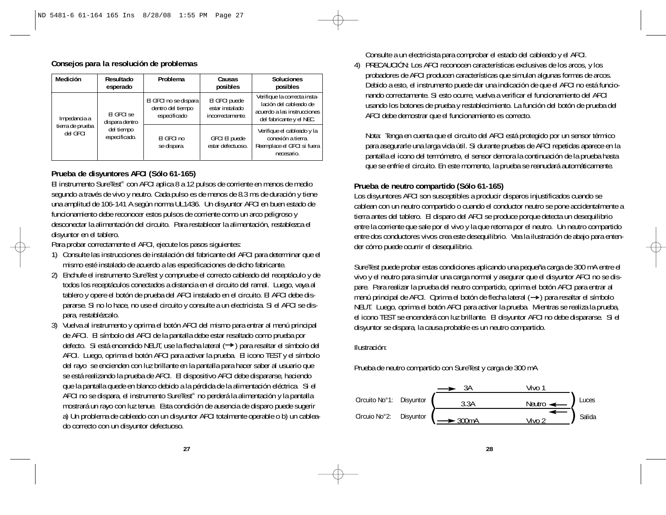| Consejos para la resolución de problemas |  |  |
|------------------------------------------|--|--|
|------------------------------------------|--|--|

| Medición                     | Resultado<br>esperado        | Problema                                                   | Causas<br>posibles                                   | <b>Soluciones</b><br>posibles                                                                                     |
|------------------------------|------------------------------|------------------------------------------------------------|------------------------------------------------------|-------------------------------------------------------------------------------------------------------------------|
| Impedancia a                 | FI GFCI se<br>dispara dentro | El GFCI no se dispara<br>dentro del tiempo<br>especificado | El GFCI puede<br>estar instalado<br>incorrectamente. | Verifique la correcta insta-<br>lación del cableado de<br>acuerdo a las instrucciones<br>del fabricante y el NEC. |
| tierra de prueba<br>del GFCI | del tiempo<br>especificado.  | El GFCI no<br>se dispara.                                  | <b>GFCI EI puede</b><br>estar defectuoso.            | Verifique el cableado y la<br>conexión a tierra.<br>Reemplace el GFCI si fuera<br>necesario.                      |

# **Prueba de disyuntores AFCI (Sólo 61-165)**

El instrumento SureTest® con AFCI aplica 8 a 12 pulsos de corriente en menos de medio segundo a través de vivo y neutro. Cada pulso es de menos de 8.3 ms de duración y tiene una amplitud de 106-141 A según norma UL1436. Un disyuntor AFCI en buen estado de funcionamiento debe reconocer estos pulsos de corriente como un arco peligroso y desconectar la alimentación del circuito. Para restablecer la alimentación, restablezca el disyuntor en el tablero.

Para probar correctamente el AFCI, ejecute los pasos siguientes:

- 1) Consulte las instrucciones de instalación del fabricante del AFCI para determinar que el mismo esté instalado de acuerdo a las especificaciones de dicho fabricante.
- 2) Enchufe el instrumento SureTest y compruebe el correcto cableado del receptáculo y de todos los receptáculos conectados a distancia en el circuito del ramal. Luego, vaya al tablero y opere el botón de prueba del AFCI instalado en el circuito. El AFCI debe dispararse. Si no lo hace, no use el circuito y consulte a un electricista. Si el AFCI se dispara, restablézcalo.
- 3) Vuelva al instrumento y oprima el botón AFCI del mismo para entrar al menú principal de AFCI. El símbolo del AFCI de la pantalla debe estar resaltado como prueba por defecto. Si está encendido NEUT, use la flecha lateral (->) para resaltar el símbolo del AFCI. Luego, oprima el botón AFCI para activar la prueba. El icono TEST y el símbolo del rayo se encienden con luz brillante en la pantalla para hacer saber al usuario que se está realizando la prueba de AFCI. El dispositivo AFCI debe dispararse, haciendo que la pantalla quede en blanco debido a la pérdida de la alimentación eléctrica. Si el AFCI no se dispara, el instrumento SureTest® no perderá la alimentación y la pantalla mostrará un rayo con luz tenue. Esta condición de ausencia de disparo puede sugerir a) Un problema de cableado con un disyuntor AFCI totalmente operable o b) un cableado correcto con un disyuntor defectuoso.

Consulte a un electricista para comprobar el estado del cableado y el AFCI.

4) PRECAUCIÓN: Los AFCI reconocen características exclusivas de los arcos, y los probadores de AFCI producen características que simulan algunas formas de arcos. Debido a esto, el instrumento puede dar una indicación de que el AFCI no está funcionando correctamente. Si esto ocurre, vuelva a verificar el funcionamiento del AFCI usando los botones de prueba y restablecimiento. La función del botón de prueba del AFCI debe demostrar que el funcionamiento es correcto.

Nota: Tenga en cuenta que el circuito del AFCI está protegido por un sensor térmico para asegurarle una larga vida útil. Si durante pruebas de AFCI repetidas aparece en la pantalla el icono del termómetro, el sensor demora la continuación de la prueba hasta que se enfríe el circuito. En este momento, la prueba se reanudará automáticamente.

#### **Prueba de neutro compartido (Sólo 61-165)**

Los disyuntores AFCI son susceptibles a producir disparos injustificados cuando se cablean con un neutro compartido o cuando el conductor neutro se pone accidentalmente a tierra antes del tablero. El disparo del AFCI se produce porque detecta un desequilibrio entre la corriente que sale por el vivo y la que retorna por el neutro. Un neutro compartido entre dos conductores vivos crea este desequilibrio. Vea la ilustración de abajo para entender cómo puede ocurrir el desequilibrio.

SureTest puede probar estas condiciones aplicando una pequeña carga de 300 mA entre el vivo y el neutro para simular una carga normal y asegurar que el disyuntor AFCI no se dispare. Para realizar la prueba del neutro compartido, oprima el botón AFCI para entrar al menú principal de AFCI. Oprima el botón de flecha lateral  $(\rightarrow)$  para resaltar el símbolo NEUT. Luego, oprima el botón AFCI para activar la prueba. Mientras se realiza la prueba, el icono TEST se encenderá con luz brillante. El disyuntor AFCI no debe dispararse. Si el disyuntor se dispara, la causa probable es un neutro compartido.

#### Ilustración:

Prueba de neutro compartido con SureTest y carga de 300 mA



**28**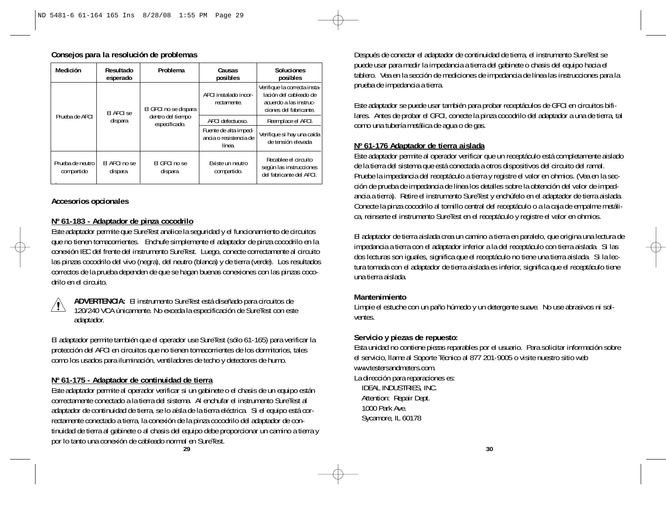# **Consejos para la resolución de problemas**

| Medición                       | Resultado<br>esperado     | Problema                                                    | Causas<br>posibles                                        | <b>Soluciones</b><br>posibles                                                                              |
|--------------------------------|---------------------------|-------------------------------------------------------------|-----------------------------------------------------------|------------------------------------------------------------------------------------------------------------|
| Prueba de AFCI                 | El AFCI se<br>dispara     | El GFCI no se dispara<br>dentro del tiempo<br>especificado. | AFCI instalado incor-<br>rectamente.                      | Verifique la correcta insta-<br>lación del cableado de<br>acuerdo a las instruc-<br>ciones del fabricante. |
|                                |                           |                                                             | AFCI defectuoso.                                          | Reemplace el AFCI.                                                                                         |
|                                |                           |                                                             | Fuente de alta imped-<br>ancia o resistencia de<br>línea. | Verifique si hay una caída<br>de tensión elevada                                                           |
| Prueba de neutro<br>compartido | FI AFCI no se<br>dispara. | FI GFCI no se<br>dispara.                                   | Existe un neutro<br>compartido.                           | Recablee el circuito<br>según las instrucciones<br>del fabricante del AFCI.                                |

#### **Accesorios opcionales**

### **Nº 61-183 - Adaptador de pinza cocodrilo**

Este adaptador permite que SureTest analice la seguridad y el funcionamiento de circuitos que no tienen tomacorrientes. Enchufe simplemente el adaptador de pinza cocodrilo en la conexión IEC del frente del instrumento SureTest. Luego, conecte correctamente al circuito las pinzas cocodrilo del vivo (negra), del neutro (blanca) y de tierra (verde). Los resultados correctos de la prueba dependen de que se hagan buenas conexiones con las pinzas cocodrilo en el circuito.



**ADVERTENCIA:** El instrumento SureTest está diseñado para circuitos de 120/240 VCA únicamente. No exceda la especificación de SureTest con este adaptador.

El adaptador permite también que el operador use SureTest (sólo 61-165) para verificar la protección del AFCI en circuitos que no tienen tomacorrientes de los dormitorios, tales como los usados para iluminación, ventiladores de techo y detectores de humo.

#### **Nº 61-175 - Adaptador de continuidad de tierra**

Este adaptador permite al operador verificar si un gabinete o el chasis de un equipo están correctamente conectado a la tierra del sistema. Al enchufar el instrumento SureTest al adaptador de continuidad de tierra, se lo aísla de la tierra eléctrica. Si el equipo está correctamente conectado a tierra, la conexión de la pinza cocodrilo del adaptador de continuidad de tierra al gabinete o al chasis del equipo debe proporcionar un camino a tierra y por lo tanto una conexión de cableado normal en SureTest.

Después de conectar el adaptador de continuidad de tierra, el instrumento SureTest se puede usar para medir la impedancia a tierra del gabinete o chasis del equipo hacia el tablero. Vea en la sección de mediciones de impedancia de línea las instrucciones para la prueba de impedancia a tierra.

Este adaptador se puede usar también para probar receptáculos de GFCI en circuitos bifilares. Antes de probar el GFCI, conecte la pinza cocodrilo del adaptador a una de tierra, tal como una tubería metálica de agua o de gas.

# **Nº 61-176 Adaptador de tierra aislada**

Este adaptador permite al operador verificar que un receptáculo está completamente aislado de la tierra del sistema que está conectada a otros dispositivos del circuito del ramal. Pruebe la impedancia del receptáculo a tierra y registre el valor en ohmios. (Vea en la sección de prueba de impedancia de línea los detalles sobre la obtención del valor de impedancia a tierra). Retire el instrumento SureTest y enchúfelo en el adaptador de tierra aislada. Conecte la pinza cocodrilo al tornillo central del receptáculo o a la caja de empalme metálica, reinserte el instrumento SureTest en el receptáculo y registre el valor en ohmios.

El adaptador de tierra aislada crea un camino a tierra en paralelo, que origina una lectura de impedancia a tierra con el adaptador inferior a la del receptáculo con tierra aislada. Si las dos lecturas son iguales, significa que el receptáculo no tiene una tierra aislada. Si la lectura tomada con el adaptador de tierra aislada es inferior, significa que el receptáculo tiene una tierra aislada.

#### **Mantenimiento**

Limpie el estuche con un paño húmedo y un detergente suave. No use abrasivos ni solventes.

#### **Servicio y piezas de repuesto:**

Esta unidad no contiene piezas reparables por el usuario. Para solicitar información sobre el servicio, llame al Soporte Técnico al 877 201-9005 o visite nuestro sitio web www.testersandmeters.com.

La dirección para reparaciones es: IDEAL INDUSTRIES, INC. Attention: Repair Dept. 1000 Park Ave. Sycamore, IL 60178

**29**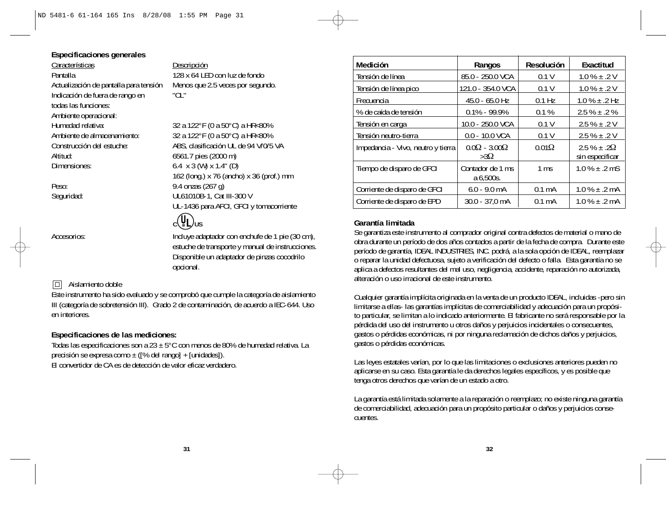#### **Especificaciones generales**

Características Descripción Pantalla 128 x 64 LED con luz de fondo Indicación de fuera de rango en "OL" todas las funciones: Ambiente operacional: Humedad relativa: 32 a 122°F (0 a 50°C) a HR<80% Ambiente de almacenamiento: 32 a 122°F (0 a 50°C) a HR<80% Altitud: 6561.7 pies (2000 m) Dimensiones: 6.4 x 3 (W) x 1.4" (D)

Actualización de pantalla para tensión Menos que 2.5 veces por segundo.

Construcción del estuche: ABS, clasificación UL de 94 V/0/5 VA 162 (long.) x 76 (ancho) x 36 (prof.) mm Peso: 9.4 onzas (267 g) Seguridad: UL61010B-1, Cat III-300 V UL-1436 para AFCI, GFCI y tomacorriente

# $c(\Psi_L)_{US}$

Accesorios:<br>
Incluye adaptador con enchufe de 1 pie (30 cm), estuche de transporte y manual de instrucciones. Disponible un adaptador de pinzas cocodrilo opcional.

# **同** Aislamiento doble

Este instrumento ha sido evaluado y se comprobó que cumple la categoría de aislamiento III (categoría de sobretensión III). Grado 2 de contaminación, de acuerdo a IEC-644. Uso en interiores.

#### **Especificaciones de las mediciones:**

Todas las especificaciones son a 23 ± 5°C con menos de 80% de humedad relativa. La precisión se expresa como  $\pm$  ( $\frac{1}{6}$  del rango] + [unidades]). El convertidor de CA es de detección de valor eficaz verdadero.

**Medición Rangos Resolución Exactitud** Tensión de línea  $|85.0 - 250.0 \text{ VCA}|$  0.1 V  $|1.0 \text{ % } \pm .2 \text{ V}|$ Tensión de línea pico  $121.0 - 354.0$  VCA  $\vert$  0.1 V  $\vert$  1.0 %  $\pm$  .2 V Frecuencia 45.0 - 65.0 Hz 0.1 Hz 1.0 % ± .2 Hz % de caída de tensión 0.1% - 99.9% 0.1 % 2.5 % ± .2 % Tensión en carga 10.0 - 250.0 VCA  $\vert$  0.1 V  $\vert$  2.5 %  $\pm$  .2 V Tensión neutro-tierra 0.0 - 10.0 VCA 0.1 V 2.5 % ± .2 V Impedancia - Vivo, neutro y tierra  $\begin{vmatrix} 0.0\Omega & -3.00\Omega \\ 3.0\Omega & 0.01\Omega \end{vmatrix}$  2.5 % ± .2Ω <br>sin especificar sin especificar Tiempo de disparo de GFCI  $\vert$  Contador de 1 ms  $\vert$  1 ms  $\vert$  1.0 %  $\pm$  .2 mS a 6,500s. Corriente de disparo de GFCI  $\begin{bmatrix} 6.0 & -9.0 & \text{mA} \\ 0.1 & \text{mA} \end{bmatrix}$  1.0 %  $\pm$  .2 mA Corriente de disparo de EPD 30.0 - 37,0 mA 0.1 mA 1.0 % ± .2 mA

#### **Garantía limitada**

Se garantiza este instrumento al comprador original contra defectos de material o mano de obra durante un período de dos años contados a partir de la fecha de compra. Durante este período de garantía, IDEAL INDUSTRIES, INC. podrá, a la sola opción de IDEAL, reemplazar o reparar la unidad defectuosa, sujeto a verificación del defecto o falla. Esta garantía no se aplica a defectos resultantes del mal uso, negligencia, accidente, reparación no autorizada, alteración o uso irracional de este instrumento.

Cualquier garantía implícita originada en la venta de un producto IDEAL, incluidas -pero sin limitarse a ellas- las garantías implícitas de comerciabilidad y adecuación para un propósito particular, se limitan a lo indicado anteriormente. El fabricante no será responsable por la pérdida del uso del instrumento u otros daños y perjuicios incidentales o consecuentes, gastos o pérdidas económicas, ni por ninguna reclamación de dichos daños y perjuicios, gastos o pérdidas económicas.

Las leyes estatales varían, por lo que las limitaciones o exclusiones anteriores pueden no aplicarse en su caso. Esta garantía le da derechos legales específicos, y es posible que tenga otros derechos que varían de un estado a otro.

La garantía está limitada solamente a la reparación o reemplazo; no existe ninguna garantía de comerciabilidad, adecuación para un propósito particular o daños y perjuicios consecuentes.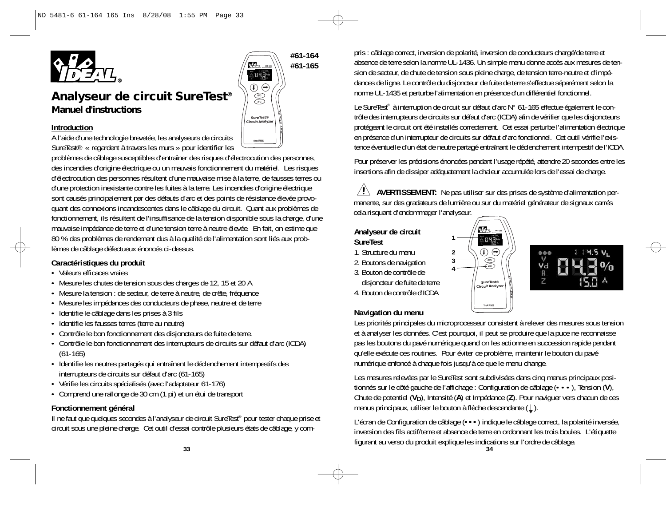

# **Construction Example 2 Construction Circuit Analyzer Introduction** *Analyseur de circuit SureTest® Manuel d'instructions*

A l'aide d'une technologie brevetée, les analyseurs de circuits SureTest® « regardent à travers les murs » pour identifier les

problèmes de câblage susceptibles d'entraîner des risques d'électrocution des personnes, des incendies d'origine électrique ou un mauvais fonctionnement du matériel. Les risques d'électrocution des personnes résultent d'une mauvaise mise à la terre, de fausses terres ou d'une protection inexistante contre les fuites à la terre. Les incendies d'origine électrique sont causés principalement par des défauts d'arc et des points de résistance élevée provoquant des connexions incandescentes dans le câblage du circuit. Quant aux problèmes de fonctionnement, ils résultent de l'insuffisance de la tension disponible sous la charge, d'une mauvaise impédance de terre et d'une tension terre à neutre élevée. En fait, on estime que 80 % des problèmes de rendement dus à la qualité de l'alimentation sont liés aux problèmes de câblage défectueux énoncés ci-dessus.

# **Caractéristiques du produit**

- Valeurs efficaces vraies
- Mesure les chutes de tension sous des charges de 12, 15 et 20 A.
- Mesure la tension : de secteur, de terre à neutre, de crête, fréquence
- Mesure les impédances des conducteurs de phase, neutre et de terre
- Identifie le câblage dans les prises à 3 fils
- Identifie les fausses terres (terre au neutre)
- Contrôle le bon fonctionnement des disjoncteurs de fuite de terre.
- Contrôle le bon fonctionnement des interrupteurs de circuits sur défaut d'arc (ICDA) (61-165)
- Identifie les neutres partagés qui entraînent le déclenchement intempestifs des interrupteurs de circuits sur défaut d'arc (61-165)
- Vérifie les circuits spécialisés (avec l'adaptateur 61-176)
- Comprend une rallonge de 30 cm (1 pi) et un étui de transport

#### **Fonctionnement général**

Il ne faut que quelques secondes à l'analyseur de circuit SureTest® pour tester chaque prise et circuit sous une pleine charge. Cet outil d'essai contrôle plusieurs états de câblage, y com-

**#61-164** *#61-165* **#61-165**  $043°$ **GFCI AFCI True RMS**

pris : câblage correct, inversion de polarité, inversion de conducteurs chargé/de terre et absence de terre selon la norme UL-1436. Un simple menu donne accès aux mesures de tension de secteur, de chute de tension sous pleine charge, de tension terre-neutre et d'impédances de ligne. Le contrôle du disjoncteur de fuite de terre s'effectue séparément selon la norme UL-1435 et perturbe l'alimentation en présence d'un différentiel fonctionnel.

Le SureTest<sup>®</sup> à interruption de circuit sur défaut d'arc N° 61-165 effectue également le contrôle des interrupteurs de circuits sur défaut d'arc (ICDA) afin de vérifier que les disjoncteurs protégeant le circuit ont été installés correctement. Cet essai perturbe l'alimentation électrique en présence d'un interrupteur de circuits sur défaut d'arc fonctionnel. Cet outil vérifie l'existence éventuelle d'un état de neutre partagé entraînant le déclenchement intempestif de l'ICDA.

Pour préserver les précisions énoncées pendant l'usage répété, attendre 20 secondes entre les insertions afin de dissiper adéquatement la chaleur accumulée lors de l'essai de charge.

**AVERTISSEMENT:** Ne pas utiliser sur des prises de système d'alimentation per manente, sur des gradateurs de lumière ou sur du matériel générateur de signaux carrés cela risquant d'endommager l'analyseur.

#### **Analyseur de circuit SureTest**

- 1. Structure du menu
- 
- 2. Boutons de navigation
- 3. Bouton de contrôle de
- disjoncteur de fuite de terre
- 4. Bouton de contrôle d'ICDA





# **Navigation du menu**

Les priorités principales du microprocesseur consistent à relever des mesures sous tension et à analyser les données. C'est pourquoi, il peut se produire que la puce ne reconnaisse pas les boutons du pavé numérique quand on les actionne en succession rapide pendant qu'elle exécute ces routines. Pour éviter ce problème, maintenir le bouton du pavé numérique enfoncé à chaque fois jusqu'à ce que le menu change.

Les mesures relevées par le SureTest sont subdivisées dans cinq menus principaux positionnés sur le côté gauche de l'affichage : Configuration de câblage (•••), Tension (**V**), Chute de potentiel (**VD**), Intensité (**A**) et Impédance (**Z**). Pour naviguer vers chacun de ces menus principaux, utiliser le bouton à flèche descendante (1).

L'écran de Configuration de câblage (**•••**) indique le câblage correct, la polarité inversée, inversion des fils actif/terre et absence de terre en ordonnant les trois boules. L'étiquette figurant au verso du produit explique les indications sur l'ordre de câblage. **<sup>33</sup>**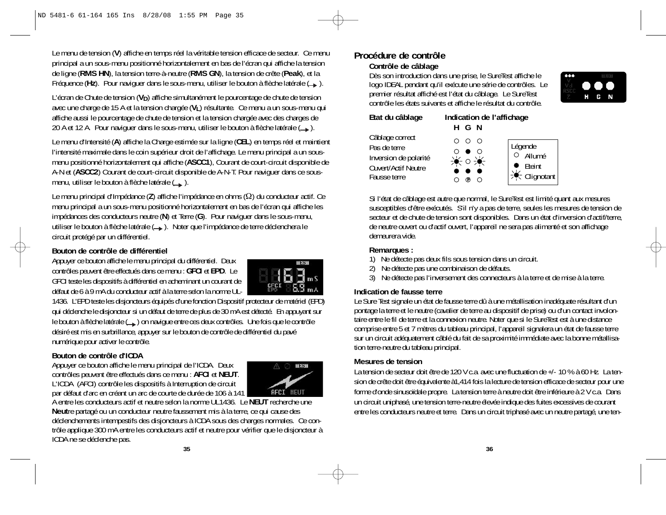Le menu de tension (**V**) affiche en temps réel la véritable tension efficace de secteur. Ce menu principal a un sous-menu positionné horizontalement en bas de l'écran qui affiche la tension de ligne (**RMS HN**), la tension terre-à-neutre (**RMS GN**), la tension de crête (**Peak**), et la Fréquence (**Hz**). Pour naviguer dans le sous-menu, utiliser le bouton à flèche latérale ( ).

L'écran de Chute de tension (**V<sub>D</sub>**) affiche simultanément le pourcentage de chute de tension avec une charge de 15 A et la tension chargée (**VL**) résultante. Ce menu a un sous-menu qui affiche aussi le pourcentage de chute de tension et la tension chargée avec des charges de 20 A et 12 A. Pour naviguer dans le sous-menu, utiliser le bouton à flèche latérale  $($ 

Le menu d'Intensité (**A**) affiche la Charge estimée sur la ligne (**CEL**) en temps réel et maintient l'intensité maximale dans le coin supérieur droit de l'affichage. Le menu principal a un sousmenu positionné horizontalement qui affiche (**ASCC1**), Courant de court-circuit disponible de A-N et (**ASCC2**) Courant de court-circuit disponible de A-N-T. Pour naviguer dans ce sousmenu, utiliser le bouton à flèche latérale ( ).

Le menu principal d'Impédance (**Z**) affiche l'impédance en ohms (Ω) du conducteur actif. Ce menu principal a un sous-menu positionné horizontalement en bas de l'écran qui affiche les impédances des conducteurs neutre ( **N**) et Terre (**G**). Pour naviguer dans le sous-menu, utiliser le bouton à flèche latérale (
...). Noter que l'impédance de terre déclenchera le circuit protégé par un différentiel.

# **Bouton de contrôle de différentiel**

Appuyer ce bouton affiche le menu principal du différentiel. Deux contrôles peuvent être effectués dans ce menu : **GFCI** et **EPD**. Le GFCI teste les dispositifs à différentiel en acheminant un courant de défaut de 6 à 9 mA du conducteur actif à la terre selon la norme UL-



1436. L'EPD teste les disjoncteurs équipés d'une fonction Dispositif protecteur de matériel (EPD) qui déclenche le disjoncteur si un défaut de terre de plus de 30 mA est détecté. En appuyant sur le bouton à flèche latérale (
) on navigue entre ces deux contrôles. Une fois que le contrôle désiré est mis en surbrillance, appuyer sur le bouton de contrôle de différentiel du pavé numérique pour activer le contrôle.

# **Bouton de contrôle d'ICDA**

Appuyer ce bouton affiche le menu principal de l'ICDA. Deux contrôles peuvent être effectués dans ce menu : **AFCI** et **NEUT**. L'ICDA (AFCI) contrôle les dispositifs à Interruption de circuit par défaut d'arc en créant un arc de courte de durée de 106 à 141



A entre les conducteurs actif et neutre selon la norme UL1436. Le **NEUT** recherche une **Neut**re partagé ou un conducteur neutre faussement mis à la terre, ce qui cause des déclenchements intempestifs des disjoncteurs à ICDA sous des charges normales. Ce contrôle applique 300 mA entre les conducteurs actif et neutre pour vérifier que le disjoncteur à ICDA ne se déclenche pas.

# **Procédure de contrôle Contrôle de câblage**

Dès son introduction dans une prise, le SureTest affiche le logo IDEAL pendant qu'il exécute une série de contrôles. Le premier résultat affiché est l'état du câblage. Le SureTest contrôle les états suivants et affiche le résultat du contrôle.



| Etat du câblage                                                                 | Indication de l'affichage<br>H G N |                   |
|---------------------------------------------------------------------------------|------------------------------------|-------------------|
| Câblage correct<br>Pas de terre<br>Inversion de polarité<br>Ouvert/Actif Neutre | ∩<br>- റ  റ<br>美口美                 | Légen<br>O A<br>Ē |
| Fausse terre                                                                    |                                    |                   |



Si l'état de câblage est autre que normal, le SureTest est limité quant aux mesures susceptibles d'être exécutés. S'il n'y a pas de terre, seules les mesures de tension de secteur et de chute de tension sont disponibles. Dans un état d'inversion d'actif/terre, de neutre ouvert ou d'actif ouvert, l'appareil ne sera pas alimenté et son affichage demeurera vide.

# **Remarques :**

- 1) Ne détecte pas deux fils sous tension dans un circuit.
- 2) Ne détecte pas une combinaison de défauts.
- 3) Ne détecte pas l'inversement des connecteurs à la terre et de mise à la terre.

# **Indication de fausse terre**

Le Sure Test signale un état de fausse terre dû à une métallisation inadéquate résultant d'un pontage la terre et le neutre (cavalier de terre au dispositif de prise) ou d'un contact involontaire entre le fil de terre et la connexion neutre. Noter que si le SureTest est à une distance comprise entre 5 et 7 mètres du tableau principal, l'appareil signalera un état de fausse terre sur un circuit adéquatement câblé du fait de sa proximité immédiate avec la bonne métallisation terre-neutre du tableau principal.

# **Mesures de tension**

La tension de secteur doit être de 120 V c.a. avec une fluctuation de +/- 10 % à 60 Hz. La tension de crête doit être équivalente à1,414 fois la lecture de tension efficace de secteur pour une forme d'onde sinusoïdale propre. La tension terre à neutre doit être inférieure à 2 V c.a. Dans un circuit uniphasé, une tension terre-neutre élevée indique des fuites excessives de courant entre les conducteurs neutre et terre. Dans un circuit triphasé avec un neutre partagé, une ten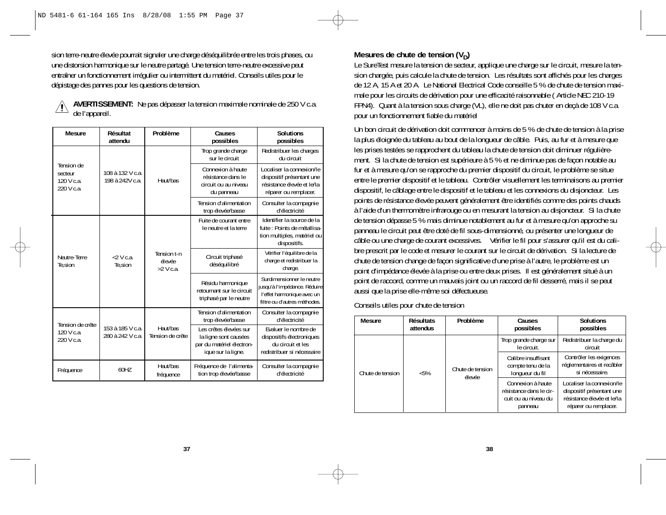sion terre-neutre élevée pourrait signaler une charge déséquilibrée entre les trois phases, ou une distorsion harmonique sur le neutre partagé. Une tension terre-neutre excessive peut entraîner un fonctionnement irrégulier ou intermittent du matériel. Conseils utiles pour le dépistage des pannes pour les questions de tension.

| Mesure                                            | Résultat<br>attendu                  | Problème                             | Causes<br>possibles                                                                                | <b>Solutions</b><br>possibles                                                                                           |
|---------------------------------------------------|--------------------------------------|--------------------------------------|----------------------------------------------------------------------------------------------------|-------------------------------------------------------------------------------------------------------------------------|
|                                                   |                                      |                                      | Trop grande charge<br>sur le circuit                                                               | Redistribuer les charges<br>du circuit                                                                                  |
| Tension de<br>secteur<br>120 V c.a.<br>220 V c.a. | 108 à 132 V c.a.<br>198 à 242V c.a.  | Haut/bas                             | Connexion à haute<br>résistance dans le<br>circuit ou au niveau<br>du panneau                      | Localiser la connexion/le<br>dispositif présentant une<br>résistance élevée et le/la<br>réparer ou remplacer.           |
|                                                   |                                      |                                      | Tension d'alimentation<br>trop élevée/basse                                                        | Consulter la compagnie<br>d'électricité                                                                                 |
|                                                   |                                      |                                      | Fuite de courant entre<br>le neutre et la terre                                                    | Identifier la source de la<br>fuite : Points de métallisa-<br>tion multiples, matériel ou<br>dispositifs.               |
| Neutre-Terre<br>Te, sion                          | $2V$ Ca<br>Te, sion                  | Tension t-n<br>élevée<br>$>2$ V c.a. | Circuit triphasé<br>déséquilibré                                                                   | Vérifier l'équilibre de la<br>charge et redistribuer la<br>charge.                                                      |
|                                                   |                                      |                                      | Résidu harmonique<br>retournant sur le circuit<br>triphasé par le neutre                           | Surdimensionner le neutre<br>jusqu'à l'impédance. Réduire<br>l'effet harmonique avec un<br>filtre ou d'autres méthodes. |
| Tension de crête                                  |                                      |                                      | Tension d'alimentation<br>trop élevée/basse                                                        | Consulter la compagnie<br>d'électricité                                                                                 |
| 120 V c.a.<br>220 V c.a.                          | 153 à 185 V c.a.<br>280 à 242 V c.a. | Haut/bas<br>Tension de crête         | Les crêtes élevées sur<br>la ligne sont causées<br>par du matériel électron-<br>ique sur la ligne. | Evaluer le nombre de<br>dispositifs électroniques<br>du circuit et les<br>redistribuer si nécessaire                    |
| Fréquence                                         | 60H7                                 | Haut/bas<br>fréquence                | Fréquence de l'alimenta-<br>tion trop élevée/basse                                                 | Consulter la compagnie<br>d'électricité                                                                                 |

# **AVERTISSEMENT:** Ne pas dépasser la tension maximale nominale de 250 V c.a. de l'appareil.

# Mesures de chute de tension  $(V_D)$

Le SureTest mesure la tension de secteur, applique une charge sur le circuit, mesure la tension chargée, puis calcule la chute de tension. Les résultats sont affichés pour les charges de 12 A, 15 A et 20 A. Le National Electrical Code conseille 5 % de chute de tension maximale pour les circuits de dérivation pour une efficacité raisonnable ( Article NEC 210-19 FPN4). Quant à la tension sous charge (VL), elle ne doit pas chuter en deçà de 108 V c.a. pour un fonctionnement fiable du matériel

Un bon circuit de dérivation doit commencer à moins de 5 % de chute de tension à la prise la plus éloignée du tableau au bout de la longueur de câble. Puis, au fur et à mesure que les prises testées se rapprochent du tableau la chute de tension doit diminuer régulièrement. Si la chute de tension est supérieure à 5 % et ne diminue pas de façon notable au fur et à mesure qu'on se rapproche du premier dispositif du circuit, le problème se situe entre le premier dispositif et le tableau. Contrôler visuellement les terminaisons au premier dispositif, le câblage entre le dispositif et le tableau et les connexions du disjoncteur. Les points de résistance élevée peuvent généralement être identifiés comme des points chauds à l'aide d'un thermomètre infrarouge ou en mesurant la tension au disjoncteur. Si la chute de tension dépasse 5 % mais diminue notablement au fur et à mesure qu'on approche su panneau le circuit peut être doté de fil sous-dimensionné, ou présenter une longueur de câble ou une charge de courant excessives. Vérifier le fil pour s'assurer qu'il est du calibre prescrit par le code et mesurer le courant sur le circuit de dérivation. Si la lecture de chute de tension change de façon significative d'une prise à l'autre, le problème est un point d'impédance élevée à la prise ou entre deux prises. Il est généralement situé à un point de raccord, comme un mauvais joint ou un raccord de fil desserré, mais il se peut aussi que la prise elle-même soi défectueuse.

Conseils utiles pour chute de tension

| <b>Mesure</b>    | <b>Résultats</b><br>attendus | Problème                   | Causes<br>possibles                                                             | <b>Solutions</b><br>possibles                                                                                 |
|------------------|------------------------------|----------------------------|---------------------------------------------------------------------------------|---------------------------------------------------------------------------------------------------------------|
|                  | $< 5\%$                      | Chute de tension<br>élevée | Trop grande charge sur<br>le circuit.                                           | Redistribuer la charge du<br>circuit                                                                          |
| Chute de tension |                              |                            | Calibre insuffisant<br>compte tenu de la<br>lonqueur du fil                     | Contrôler les exigences<br>réglementaires et recâbler<br>si nécessaire.                                       |
|                  |                              |                            | Connexion à haute<br>résistance dans le cir-<br>cuit ou au niveau du<br>panneau | Localiser la connexion/le<br>dispositif présentant une<br>résistance élevée et le/la<br>réparer ou remplacer. |

**37**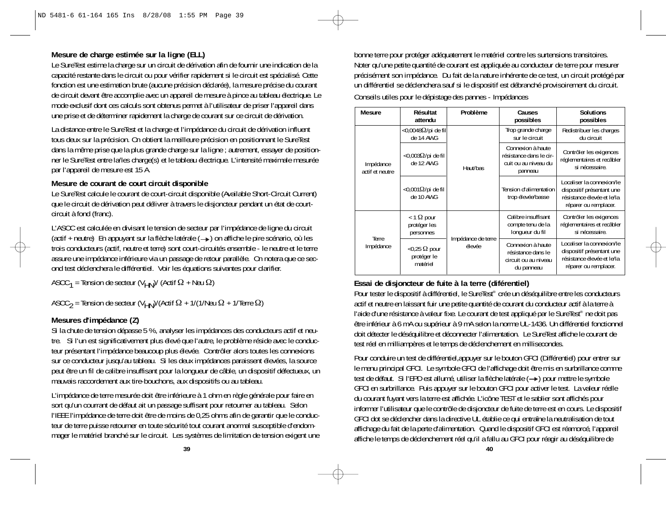## **Mesure de charge estimée sur la ligne (ELL)**

Le SureTest estime la charge sur un circuit de dérivation afin de fournir une indication de la capacité restante dans le circuit ou pour vérifier rapidement si le circuit est spécialisé. Cette fonction est une estimation brute (aucune précision déclarée), la mesure précise du courant de circuit devant être accomplie avec un appareil de mesure à pince au tableau électrique. Le mode exclusif dont ces calculs sont obtenus permet à l'utilisateur de priser l'appareil dans une prise et de déterminer rapidement la charge de courant sur ce circuit de dérivation.

La distance entre le SureTest et la charge et l'impédance du circuit de dérivation influent tous deux sur la précision. On obtient la meilleure précision en positionnant le SureTest dans la même prise que la plus grande charge sur la ligne ; autrement, essayer de positionner le SureTest entre la/les charge(s) et le tableau électrique. L'intensité maximale mesurée par l'appareil de mesure est 15 A.

#### **Mesure de courant de court circuit disponible**

Le SureTest calcule le courant de court-circuit disponible (Available Short-Circuit Current) que le circuit de dérivation peut délivrer à travers le disjoncteur pendant un état de courtcircuit à fond (franc).

L'ASCC est calculée en divisant le tension de secteur par l'impédance de ligne du circuit (actif + neutre) En appuyant sur la flèche latérale  $(\rightarrow)$  on affiche le pire scénario, où les trois conducteurs (actif, neutre et terre) sont court-circuités ensemble - le neutre et le terre assure une impédance inférieure via un passage de retour parallèle. On notera que ce second test déclenchera le différentiel. Voir les équations suivantes pour clarifier.

ASCC $_1$  = Tension de secteur (V $_{\mathsf{H}\mathsf{N}}$ )/ (Actif  $\Omega$  + Neu  $\Omega$ )

ASCC $_2$  = Tension de secteur (V<sub>HN</sub>)/(Actif  $\Omega$  + 1/(1/Neu  $\Omega$  + 1/Terre  $\Omega$ )

# **Mesures d'impédance (Z)**

Si la chute de tension dépasse 5 %, analyser les impédances des conducteurs actif et neutre. Si l'un est significativement plus élevé que l'autre, le problème réside avec le conducteur présentant l'impédance beaucoup plus élevée. Contrôler alors toutes les connexions sur ce conducteur jusqu'au tableau. Si les deux impédances paraissent élevées, la source peut être un fil de calibre insuffisant pour la longueur de câble, un dispositif défectueux, un mauvais raccordement aux tire-bouchons, aux dispositifs ou au tableau.

L'impédance de terre mesurée doit être inférieure à 1 ohm en règle générale pour faire en sort qu'un courrant de défaut ait un passage suffisant pour retourner au tableau. Selon l'IEEE l'impédance de terre doit être de moins de 0,25 ohms afin de garantir que le conducteur de terre puisse retourner en toute sécurité tout courant anormal susceptible d'endommager le matériel branché sur le circuit. Les systèmes de limitation de tension exigent une

bonne terre pour protéger adéquatement le matériel contre les surtensions transitoires. Noter qu'une petite quantité de courant est appliquée au conducteur de terre pour mesurer précisément son impédance. Du fait de la nature inhérente de ce test, un circuit protégé par un différentiel se déclenchera sauf si le dispositif est débranché provisoirement du circuit. Conseils utiles pour le dépistage des pannes - Impédances

| <b>Mesure</b>                | Résultat<br>attendu                               | Problème                     | Causes<br>possibles                                                             | <b>Solutions</b><br>possibles                                                                                 |
|------------------------------|---------------------------------------------------|------------------------------|---------------------------------------------------------------------------------|---------------------------------------------------------------------------------------------------------------|
| Impédance<br>actif et neutre | $<$ 0,0048 $\Omega$ /pi de fil<br>de 14 AWG       | Haut/bas                     | Trop grande charge<br>sur le circuit                                            | Redistribuer les charges<br>du circuit                                                                        |
|                              | <0,003Ω/pi de fil<br>de 12 AWG                    |                              | Connexion à haute<br>résistance dans le cir-<br>cuit ou au niveau du<br>panneau | Contrôler les exigences<br>réglementaires et recâbler<br>si nécessaire.                                       |
|                              | $<$ 0,001 $\Omega$ /pi de fil<br>de 10 AWG        |                              | Tension d'alimentation<br>trop élevée/basse                                     | Localiser la connexion/le<br>dispositif présentant une<br>résistance élevée et le/la<br>réparer ou remplacer. |
| Terre<br>Impédance           | $<$ 1 $\Omega$ pour<br>protéger les<br>personnes  | Impédance de terre<br>élevée | Calibre insuffisant<br>compte tenu de la<br>lonqueur du fil                     | Contrôler les exigences<br>réglementaires et recâbler<br>si nécessaire.                                       |
|                              | $<$ 0,25 $\Omega$ pour<br>protéger le<br>matériel |                              | Connexion à haute<br>résistance dans le<br>circuit ou au niveau<br>du panneau   | Localiser la connexion/le<br>dispositif présentant une<br>résistance élevée et le/la<br>réparer ou remplacer. |

# **Essai de disjoncteur de fuite à la terre (diférentiel)**

Pour tester le dispositif à différentiel, le SureTest® crée un déséquilibre entre les conducteurs actif et neutre en laissant fuir une petite quantité de courant du conducteur actif à la terre à l'aide d'une résistance à valeur fixe. Le courant de test appliqué par le SureTest® ne doit pas être inférieur à 6 mA ou supérieur à 9 mA selon la norme UL-1436. Un différentiel fonctionnel doit détecter le déséquilibre et déconnecter l'alimentation. Le SureTest affiche le courant de test réel en milliampères et le temps de déclenchement en millisecondes.

Pour conduire un test de différentiel,appuyer sur le bouton GFCI (Différentiel) pour entrer sur le menu principal GFCI. Le symbole GFCI de l'affichage doit être mis en surbrillance comme test de défaut. Si l'EPD est allumé, utiliser la flèche latérale (->) pour mettre le symbole GFCI en surbrillance. Puis appuyer sur le bouton GFCI pour activer le test. La valeur réelle du courant fuyant vers la terre est affichée. L'icône TEST et le sablier sont affichés pour informer l'utilisateur que le contrôle de disjoncteur de fuite de terre est en cours. Le dispositif GFCI dot se déclencher dans la directive UL établie ce qui entraîne la neutralisation de tout affichage du fait de la perte d'alimentation. Quand le dispositif GFCI est réamorcé, l'appareil affiche le temps de déclenchement réel qu'il a fallu au GFCI pour réagir au déséquilibre de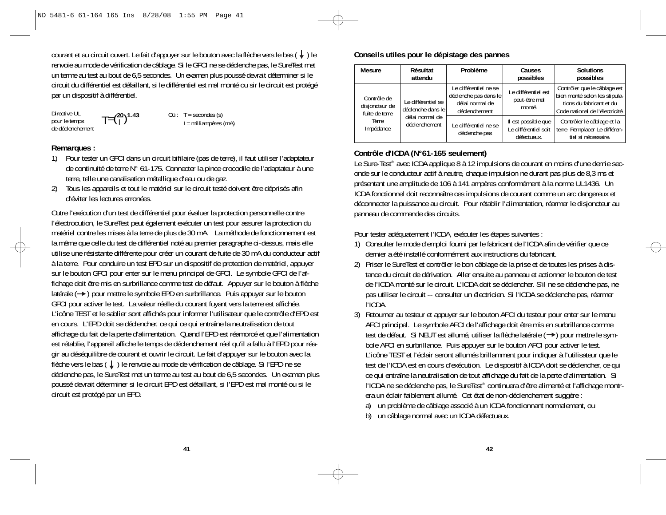courant et au circuit ouvert. Le fait d'appuyer sur le bouton avec la flèche vers le bas  $(\downarrow)$  le renvoie au mode de vérification de câblage. Si le GFCI ne se déclenche pas, le SureTest met un terme au test au bout de 6,5 secondes. Un examen plus poussé devrait déterminer si le circuit du différentiel est défaillant, si le différentiel est mal monté ou sir le circuit est protégé par un dispositif à différentiel.

Directive UL pour le temps de déclenchement  $T = \left(\frac{20}{1}\right)^{1.43}$  Où : T = secondes (s)<br> $I = \text{milliampleves (mA)}$ 

#### **Remarques :**

- 1) Pour tester un GFCI dans un circuit bifilaire (pas de terre), il faut utiliser l'adaptateur de continuité de terre N° 61-175. Connecter la pince crocodile de l'adaptateur à une terre, telle une canalisation métallique d'eau ou de gaz.
- 2) Tous les appareils et tout le matériel sur le circuit testé doivent être déprisés afin d'éviter les lectures erronées.

Outre l'exécution d'un test de différentiel pour évaluer la protection personnelle contre l'électrocution, le SureTest peut également exécuter un test pour assurer la protection du matériel contre les mises à la terre de plus de 30 mA. La méthode de fonctionnement est la même que celle du test de différentiel noté au premier paragraphe ci-dessus, mais elle utilise une résistante différente pour créer un courant de fuite de 30 mA du conducteur actif à la terre. Pour conduire un test EPD sur un dispositif de protection de matériel, appuyer sur le bouton GFCI pour enter sur le menu principal de GFCI. Le symbole GFCI de l'affichage doit être mis en surbrillance comme test de défaut. Appuyer sur le bouton à flèche latérale  $(\rightarrow)$  pour mettre le symbole EPD en surbrillance. Puis appuyer sur le bouton GFCI pour activer le test. La valeur réelle du courant fuyant vers la terre est affichée. L'icône TEST et le sablier sont affichés pour informer l'utilisateur que le contrôle d'EPD est en cours. L'EPD doit se déclencher, ce qui ce qui entraîne la neutralisation de tout affichage du fait de la perte d'alimentation. Quand l'EPD est réamorcé et que l'alimentation est rétablie, l'appareil affiche le temps de déclenchement réel qu'il a fallu à l'EPD pour réagir au déséquilibre de courant et ouvrir le circuit. Le fait d'appuyer sur le bouton avec la flèche vers le bas  $(\downarrow)$  le renvoie au mode de vérification de câblage. Si l'EPD ne se déclenche pas, le SureTest met un terme au test au bout de 6,5 secondes. Un examen plus poussé devrait déterminer si le circuit EPD est défaillant, si l'EPD est mal monté ou si le circuit est protégé par un EPD.

#### **Conseils utiles pour le dépistage des pannes**

| <b>Mesure</b>                                   | Résultat<br>attendu                       | Problème                                                                           | Causes<br>possibles                                        | <b>Solutions</b><br>possibles                                                                                                |
|-------------------------------------------------|-------------------------------------------|------------------------------------------------------------------------------------|------------------------------------------------------------|------------------------------------------------------------------------------------------------------------------------------|
| Contrôle de<br>disjoncteur de<br>fuite de terre | Le différentiel se<br>déclenche dans le l | Le différentiel ne se<br>déclenche pas dans le<br>délai normal de<br>déclenchement | Le différentiel est<br>peut-être mal<br>monté.             | Contrôler que le câblage est<br>bien monté selon les stipula-<br>tions du fabricant et du<br>Code national de l'électricité. |
| Terre<br>Impédance                              | délai normal de<br>déclenchement          | Le différentiel ne se<br>déclenche pas                                             | Il est possible que<br>Le différentiel soit<br>défectueux. | Contrôler le câblage et la<br>terre Remplacer Le différen-<br>tiel si nécessaire.                                            |

### **Contrôle d'ICDA (N°61-165 seulement)**

Le Sure-Test<sup>®</sup> avec ICDA applique 8 à 12 impulsions de courant en moins d'une demie seconde sur le conducteur actif à neutre, chaque impulsion ne durant pas plus de 8,3 ms et présentant une amplitude de 106 à 141 ampères conformément à la norme UL1436. Un ICDA fonctionnel doit reconnaître ces impulsions de courant comme un arc dangereux et déconnecter la puissance au circuit. Pour rétablir l'alimentation, réarmer le disjoncteur au panneau de commande des circuits.

Pour tester adéquatement l'ICDA, exécuter les étapes suivantes :

- 1) Consulter le mode d'emploi fourni par le fabricant de l'ICDA afin de vérifier que ce dernier a été installé conformément aux instructions du fabricant.
- 2) Priser le SureTest et contrôler le bon câblage de la prise et de toutes les prises à distance du circuit de dérivation. Aller ensuite au panneau et actionner le bouton de test de l'ICDA monté sur le circuit. L'ICDA doit se déclencher. S'il ne se déclenche pas, ne pas utiliser le circuit -- consulter un électricien. Si l'ICDA se déclenche pas, réarmer l'ICDA.
- 3) Retourner au testeur et appuyer sur le bouton AFCI du testeur pour enter sur le menu AFCI principal. Le symbole AFCI de l'affichage doit être mis en surbrillance comme test de défaut. Si NEUT est allumé, utiliser la flèche latérale (->) pour mettre le symbole AFCI en surbrillance. Puis appuyer sur le bouton AFCI pour activer le test. L'icône TEST et l'éclair seront allumés brillamment pour indiquer à l'utilisateur que le test de l'ICDA est en cours d'exécution. Le dispositif à ICDA doit se déclencher, ce qui ce qui entraîne la neutralisation de tout affichage du fait de la perte d'alimentation. Si l'ICDA ne se déclenche pas, le SureTest® continuera d'être alimenté et l'affichage montrera un éclair faiblement allumé. Cet état de non-déclenchement suggère :
	- a) un problème de câblage associé à un ICDA fonctionnant normalement, ou
	- b) un câblage normal avec un ICDA défectueux.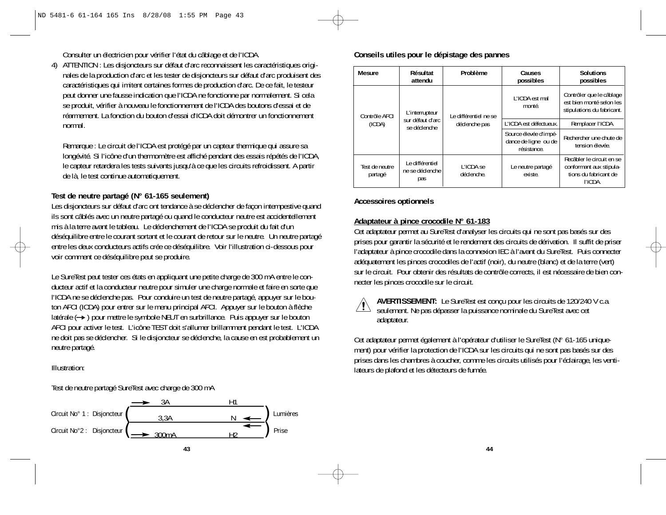Consulter un électricien pour vérifier l'état du câblage et de l'ICDA.

4) ATTENTION : Les disjoncteurs sur défaut d'arc reconnaissent les caractéristiques originales de la production d'arc et les tester de disjoncteurs sur défaut d'arc produisent des caractéristiques qui imitent certaines formes de production d'arc. De ce fait, le testeur peut donner une fausse indication que l'ICDA ne fonctionne par normalement. Si cela se produit, vérifier à nouveau le fonctionnement de l'ICDA des boutons d'essai et de réarmement. La fonction du bouton d'essai d'ICDA doit démontrer un fonctionnement normal.

Remarque : Le circuit de l'ICDA est protégé par un capteur thermique qui assure sa longévité. Si l'icône d'un thermomètre est affiché pendant des essais répétés de l'ICDA, le capteur retardera les tests suivants jusqu'à ce que les circuits refroidissent. A partir de là, le test continue automatiquement.

# **Test de neutre partagé (N° 61-165 seulement)**

Les disjoncteurs sur défaut d'arc ont tendance à se déclencher de façon intempestive quand ils sont câblés avec un neutre partagé ou quand le conducteur neutre est accidentellement mis à la terre avant le tableau. Le déclenchement de l'ICDA se produit du fait d'un déséquilibre entre le courant sortant et le courant de retour sur le neutre. Un neutre partagé entre les deux conducteurs actifs crée ce déséquilibre. Voir l'illustration ci-dessous pour voir comment ce déséquilibre peut se produire.

Le SureTest peut tester ces états en appliquant une petite charge de 300 mA entre le conducteur actif et la conducteur neutre pour simuler une charge normale et faire en sorte que l'ICDA ne se déclenche pas. Pour conduire un test de neutre partagé, appuyer sur le bouton AFCI (ICDA) pour entrer sur le menu principal AFCI. Appuyer sur le bouton à flèche latérale (
ightarrow pour mettre le symbole NEUT en surbrillance. Puis appuyer sur le bouton AFCI pour activer le test. L'icône TEST doit s'allumer brillamment pendant le test. L'ICDA ne doit pas se déclencher. Si le disjoncteur se déclenche, la cause en est probablement un neutre partagé.

Illustration:

Test de neutre partagé SureTest avec charge de 300 mA



#### **Conseils utiles pour le dépistage des pannes**

| Mesure                    | Résultat<br>attendu                                                           | Problème                               | Causes<br>possibles                                          | Solutions<br>possibles                                                                   |
|---------------------------|-------------------------------------------------------------------------------|----------------------------------------|--------------------------------------------------------------|------------------------------------------------------------------------------------------|
|                           | L'interrupteur<br>Contrôle AFCI<br>sur défaut d'arc<br>(ICDA)<br>se déclenche | Le différentiel ne se<br>déclenche pas | L'ICDA est mal<br>monté.                                     | Contrôler que le câblage<br>est bien monté selon les<br>stipulations du fabricant.       |
|                           |                                                                               |                                        | L'ICDA est défectueux.                                       | Remplacer l'ICDA.                                                                        |
|                           |                                                                               |                                        | Source élevée d'impé-<br>dance de ligne ou de<br>résistance. | Rechercher une chute de<br>tension élevée.                                               |
| Test de neutre<br>partagé | Le différentiel<br>ne se déclenche<br>pas                                     | I 'ICDA se<br>déclenche.               | Le neutre partagé<br>existe.                                 | Recâbler le circuit en se<br>conformant aux stipula-<br>tions du fabricant de<br>l'ICDA. |

# **Accessoires optionnels**

# **Adaptateur à pince crocodile N° 61-183**

Cet adaptateur permet au SureTest d'analyser les circuits qui ne sont pas basés sur des prises pour garantir la sécurité et le rendement des circuits de dérivation. Il suffit de priser l'adaptateur à pince crocodile dans la connexion IEC à l'avant du SureTest. Puis connecter adéquatement les pinces crocodiles de l'actif (noir), du neutre (blanc) et de la terre (vert) sur le circuit. Pour obtenir des résultats de contrôle corrects, il est nécessaire de bien connecter les pinces crocodile sur le circuit.



**AVERTISSEMENT:** Le SureTest est conçu pour les circuits de 120/240 V c.a. seulement. Ne pas dépasser la puissance nominale du SureTest avec cet adaptateur.

Cet adaptateur permet également à l'opérateur d'utiliser le SureTest (N° 61-165 uniquement) pour vérifier la protection de l'ICDA sur les circuits qui ne sont pas basés sur des prises dans les chambres à coucher, comme les circuits utilisés pour l'éclairage, les ventilateurs de plafond et les détecteurs de fumée.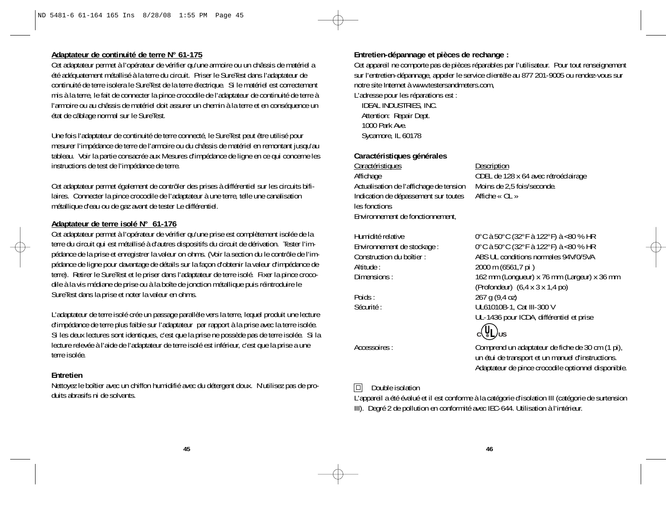### **Adaptateur de continuité de terre N° 61-175**

Cet adaptateur permet à l'opérateur de vérifier qu'une armoire ou un châssis de matériel a été adéquatement métallisé à la terre du circuit. Priser le SureTest dans l'adaptateur de continuité de terre isolera le SureTest de la terre électrique. Si le matériel est correctement mis à la terre, le fait de connecter la pince crocodile de l'adaptateur de continuité de terre à l'armoire ou au châssis de matériel doit assurer un chemin à la terre et en conséquence un état de câblage normal sur le SureTest.

Une fois l'adaptateur de continuité de terre connecté, le SureTest peut être utilisé pour mesurer l'impédance de terre de l'armoire ou du châssis de matériel en remontant jusqu'au tableau. Voir la partie consacrée aux Mesures d'impédance de ligne en ce qui concerne les instructions de test de l'impédance de terre.

Cet adaptateur permet également de contrôler des prises à différentiel sur les circuits bifilaires. Connecter la pince crocodile de l'adaptateur à une terre, telle une canalisation métallique d'eau ou de gaz avant de tester Le différentiel.

#### **Adaptateur de terre isolé N° 61-176**

Cet adaptateur permet à l'opérateur de vérifier qu'une prise est complètement isolée de la terre du circuit qui est métallisé à d'autres dispositifs du circuit de dérivation. Tester l'impédance de la prise et enregistrer la valeur on ohms. (Voir la section du le contrôle de l'impédance de ligne pour davantage de détails sur la façon d'obtenir la valeur d'impédance de terre). Retirer le SureTest et le priser dans l'adaptateur de terre isolé. Fixer la pince crocodile à la vis médiane de prise ou à la boîte de jonction métallique puis réintroduire le SureTest dans la prise et noter la valeur en ohms.

L'adaptateur de terre isolé crée un passage parallèle vers la terre, lequel produit une lecture d'impédance de terre plus faible sur l'adaptateur par rapport à la prise avec la terre isolée. Si les deux lectures sont identiques, c'est que la prise ne possède pas de terre isolée. Si la lecture relevée à l'aide de l'adaptateur de terre isolé est inférieur, c'est que la prise a une terre isolée.

#### **Entretien**

Nettoyez le boîtier avec un chiffon humidifié avec du détergent doux. N'utilisez pas de produits abrasifs ni de solvants.

# **Entretien-dépannage et pièces de rechange :**

Cet appareil ne comporte pas de pièces réparables par l'utilisateur. Pour tout renseignement sur l'entretien-dépannage, appeler le service clientèle au 877 201-9005 ou rendez-vous sur notre site Internet à www.testersandmeters.com,

L'adresse pour les réparations est :

IDEAL INDUSTRIES, INC. Attention: Repair Dept. 1000 Park Ave. Sycamore, IL 60178

#### **Caractéristiques générales**

Caractéristiques Description Affichage ODEL de 128 x 64 avec rétroéclairage Actualisation de l'affichage de tension Moins de 2,5 fois/seconde. Indication de dépassement sur toutes Affiche « OL » les fonctions Environnement de fonctionnement,

Altitude : 2000 m (6561,7 pi )

Humidité relative 0°C à 50°C (32°F à 122°F) à <80 % HR Environnement de stockage : 0°C à 50°C (32°F à 122°F) à <80 % HR Construction du boîtier : ABS UL conditions normales 94V/0/5VA Dimensions : 162 mm (Longueur) x 76 mm (Largeur) x 36 mm (Profondeur) (6,4 x 3 x 1,4 po) Poids : 267 g (9,4 oz) Sécurité : UL61010B-1, Cat III-300 V UL-1436 pour ICDA, différentiel et prise



Accessoires : Comprend un adaptateur de fiche de 30 cm (1 pi), un étui de transport et un manuel d'instructions. Adaptateur de pince crocodile optionnel disponible.

# $\Box$  Double isolation

L'appareil a été évalué et il est conforme à la catégorie d'isolation III (catégorie de surtension III). Degré 2 de pollution en conformité avec IEC-644. Utilisation à l'intérieur.